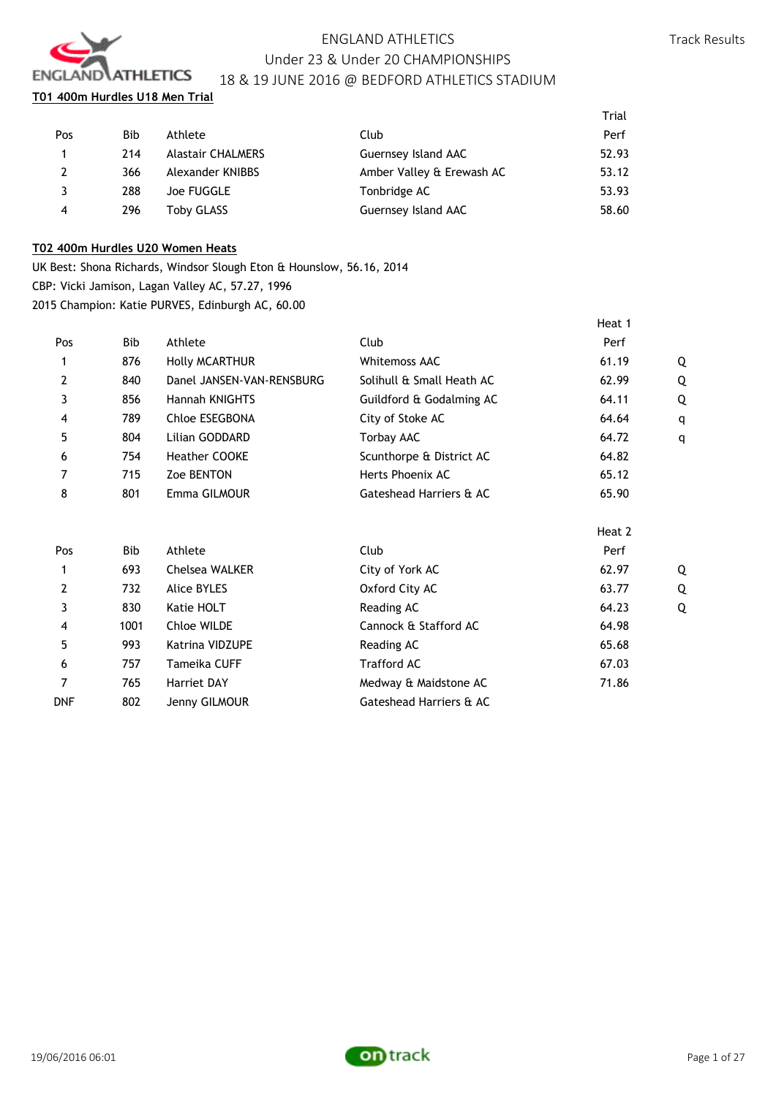

# ENGLAND ATHLETICS Under 23 & Under 20 CHAMPIONSHIPS

Track Results

# 18 & 19 JUNE 2016 @ BEDFORD ATHLETICS STADIUM

**T01 400m Hurdles U18 Men Trial**

|                |            |                          |                           | Trial |
|----------------|------------|--------------------------|---------------------------|-------|
| Pos            | <b>Bib</b> | Athlete                  | Club                      | Perf  |
| $\mathbf{1}$   | 214        | <b>Alastair CHALMERS</b> | Guernsey Island AAC       | 52.93 |
| 2              | 366        | Alexander KNIBBS         | Amber Valley & Erewash AC | 53.12 |
| 3              | 288        | Joe FUGGLE               | Tonbridge AC              | 53.93 |
| $\overline{4}$ | 296        | Toby GLASS               | Guernsey Island AAC       | 58.60 |
|                |            |                          |                           |       |

# **T02 400m Hurdles U20 Women Heats**

UK Best: Shona Richards, Windsor Slough Eton & Hounslow, 56.16, 2014 CBP: Vicki Jamison, Lagan Valley AC, 57.27, 1996

2015 Champion: Katie PURVES, Edinburgh AC, 60.00

|     |            |                           |                           | Heat 1 |   |
|-----|------------|---------------------------|---------------------------|--------|---|
| Pos | <b>Bib</b> | Athlete                   | Club                      | Perf   |   |
| 1   | 876        | <b>Holly MCARTHUR</b>     | <b>Whitemoss AAC</b>      | 61.19  | Q |
| 2   | 840        | Danel JANSEN-VAN-RENSBURG | Solihull & Small Heath AC | 62.99  | Q |
| 3   | 856        | Hannah KNIGHTS            | Guildford & Godalming AC  | 64.11  | Q |
| 4   | 789        | Chloe ESEGBONA            | City of Stoke AC          | 64.64  | q |
| 5   | 804        | Lilian GODDARD            | <b>Torbay AAC</b>         | 64.72  | q |
| 6   | 754        | Heather COOKE             | Scunthorpe & District AC  | 64.82  |   |
| 7   | 715        | Zoe BENTON                | Herts Phoenix AC          | 65.12  |   |
| 8   | 801        | Emma GILMOUR              | Gateshead Harriers & AC   | 65.90  |   |
|     |            |                           |                           | Heat 2 |   |
| Pos | <b>Bib</b> | Athlete                   | Club                      | Perf   |   |
| 1   | 693        | Chelsea WALKER            | City of York AC           | 62.97  | Q |
| 2   | 732        | Alice BYLES               | Oxford City AC            | 63.77  | Q |
| 3   | 830        | Katie HOLT                | Reading AC                | 64.23  | Q |
| 4   | 1001       | Chloe WILDE               | Cannock & Stafford AC     | 64.98  |   |
| 5   | 993        | Katrina VIDZUPE           | Reading AC                | 65.68  |   |
| 6   | 757        | Tameika CUFF              | <b>Trafford AC</b>        | 67.03  |   |
| 7   | 765        | Harriet DAY               | Medway & Maidstone AC     | 71.86  |   |
| DNF | 802        | Jenny GILMOUR             | Gateshead Harriers & AC   |        |   |

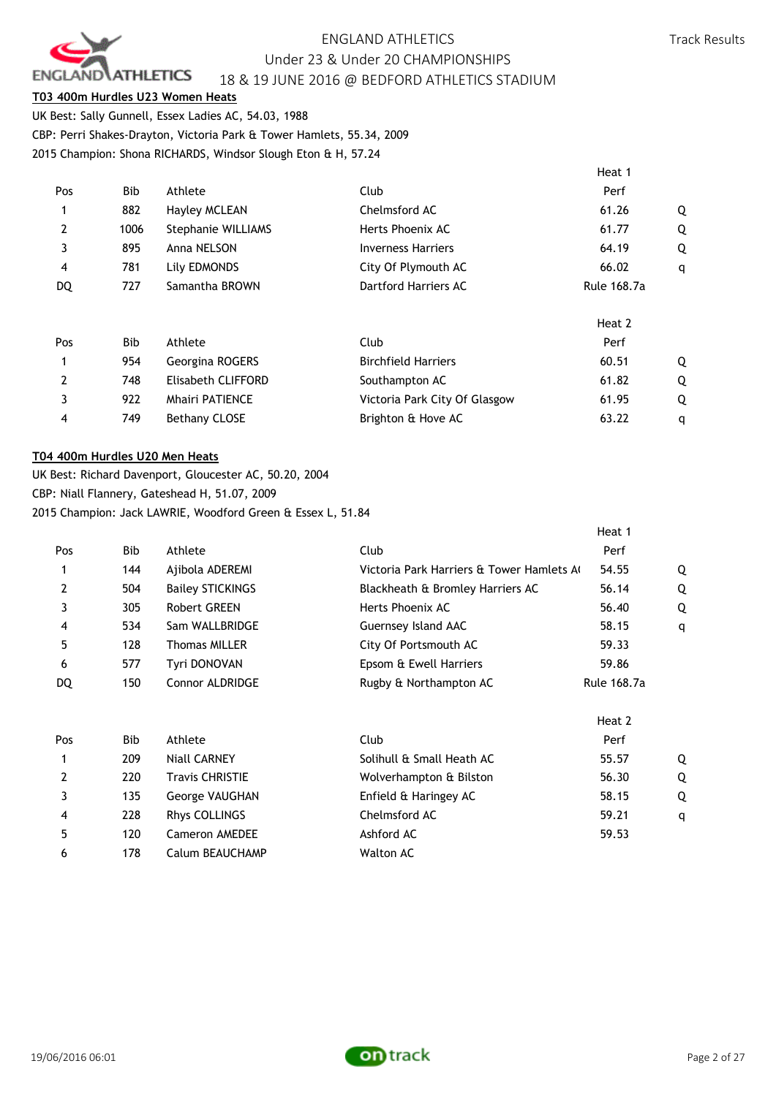

Heat 1

## **T03 400m Hurdles U23 Women Heats**

UK Best: Sally Gunnell, Essex Ladies AC, 54.03, 1988 CBP: Perri Shakes-Drayton, Victoria Park & Tower Hamlets, 55.34, 2009 2015 Champion: Shona RICHARDS, Windsor Slough Eton & H, 57.24

|                |      |                           |                               | Tieal T            |   |
|----------------|------|---------------------------|-------------------------------|--------------------|---|
| Pos            | Bib  | Athlete                   | Club                          | Perf               |   |
| 1              | 882  | <b>Hayley MCLEAN</b>      | Chelmsford AC                 | 61.26              | Q |
| 2              | 1006 | <b>Stephanie WILLIAMS</b> | Herts Phoenix AC              | 61.77              | Q |
| 3              | 895  | Anna NELSON               | <b>Inverness Harriers</b>     | 64.19              | Q |
| 4              | 781  | Lily EDMONDS              | City Of Plymouth AC           | 66.02              | q |
| DQ             | 727  | Samantha BROWN            | Dartford Harriers AC          | <b>Rule 168.7a</b> |   |
|                |      |                           |                               | Heat 2             |   |
| Pos            | Bib  | Athlete                   | Club                          | Perf               |   |
| 1              | 954  | Georgina ROGERS           | <b>Birchfield Harriers</b>    | 60.51              | Q |
| $\overline{2}$ | 748  | Elisabeth CLIFFORD        | Southampton AC                | 61.82              | Q |
| 3              | 922  | <b>Mhairi PATIENCE</b>    | Victoria Park City Of Glasgow | 61.95              | Q |
| 4              | 749  | <b>Bethany CLOSE</b>      | Brighton & Hove AC            | 63.22              | q |

### **T04 400m Hurdles U20 Men Heats**

UK Best: Richard Davenport, Gloucester AC, 50.20, 2004 CBP: Niall Flannery, Gateshead H, 51.07, 2009 2015 Champion: Jack LAWRIE, Woodford Green & Essex L, 51.84

6 178 Calum BEAUCHAMP Walton AC

|     |            |                         |                                          | Heat 1             |   |
|-----|------------|-------------------------|------------------------------------------|--------------------|---|
| Pos | Bib        | Athlete                 | Club                                     | Perf               |   |
|     | 144        | Ajibola ADEREMI         | Victoria Park Harriers & Tower Hamlets A | 54.55              | Q |
| 2   | 504        | <b>Bailey STICKINGS</b> | Blackheath & Bromley Harriers AC         | 56.14              | Q |
| 3   | 305        | Robert GREEN            | Herts Phoenix AC                         | 56.40              | Q |
| 4   | 534        | Sam WALLBRIDGE          | Guernsey Island AAC                      | 58.15              | q |
| 5   | 128        | <b>Thomas MILLER</b>    | City Of Portsmouth AC                    | 59.33              |   |
| 6   | 577        | Tyri DONOVAN            | Epsom & Ewell Harriers                   | 59.86              |   |
| DQ  | 150        | <b>Connor ALDRIDGE</b>  | Rugby & Northampton AC                   | <b>Rule 168.7a</b> |   |
|     |            |                         |                                          | Heat 2             |   |
| Pos | <b>Bib</b> | Athlete                 | Club                                     | Perf               |   |
|     | 209        | Niall CARNEY            | Solihull & Small Heath AC                | 55.57              | Q |
| 2   | 220        | <b>Travis CHRISTIE</b>  | Wolverhampton & Bilston                  | 56.30              | Q |
| 3   | 135        | George VAUGHAN          | Enfield & Haringey AC                    | 58.15              | Q |
| 4   | 228        | Rhys COLLINGS           | Chelmsford AC                            | 59.21              | q |
| 5   | 120        | <b>Cameron AMEDEE</b>   | Ashford AC                               | 59.53              |   |



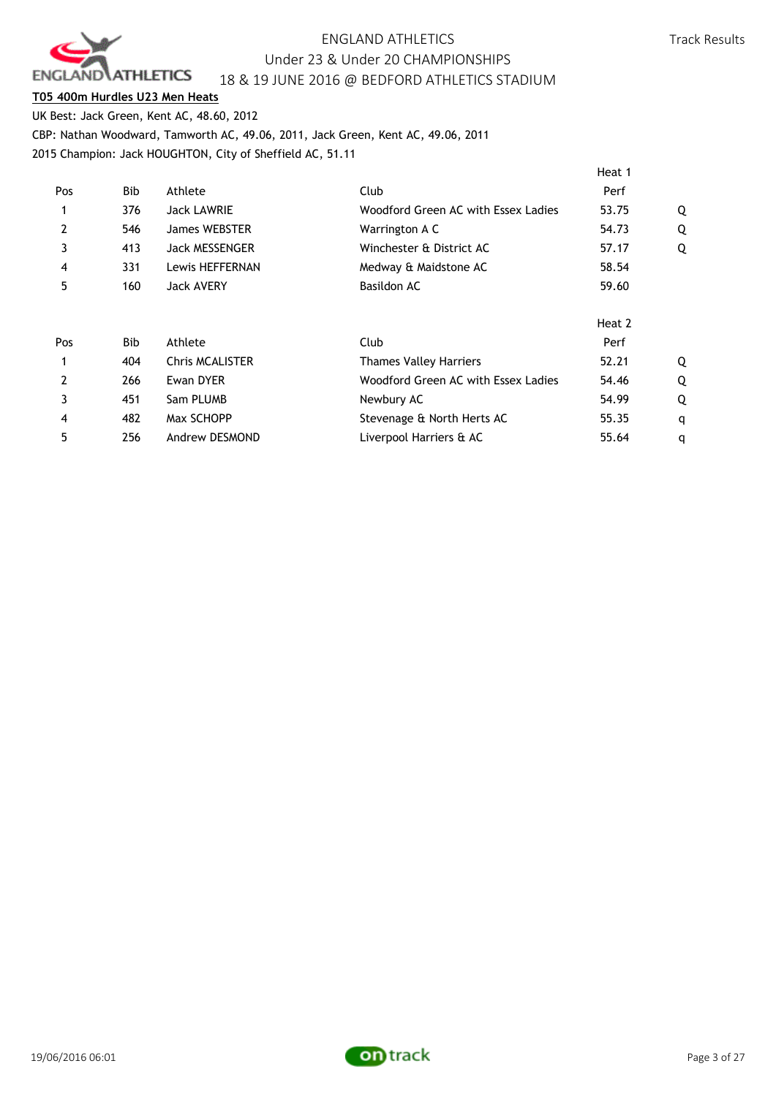

## **T05 400m Hurdles U23 Men Heats**

UK Best: Jack Green, Kent AC, 48.60, 2012 CBP: Nathan Woodward, Tamworth AC, 49.06, 2011, Jack Green, Kent AC, 49.06, 2011 2015 Champion: Jack HOUGHTON, City of Sheffield AC, 51.11

|     |     |                        |                                     | Heat 1 |   |
|-----|-----|------------------------|-------------------------------------|--------|---|
| Pos | Bib | Athlete                | Club                                | Perf   |   |
|     | 376 | <b>Jack LAWRIE</b>     | Woodford Green AC with Essex Ladies | 53.75  | Q |
| 2   | 546 | <b>James WEBSTER</b>   | Warrington A C                      | 54.73  | Q |
| 3   | 413 | <b>Jack MESSENGER</b>  | Winchester & District AC            | 57.17  | Q |
| 4   | 331 | Lewis HEFFERNAN        | Medway & Maidstone AC               | 58.54  |   |
| 5   | 160 | <b>Jack AVERY</b>      | Basildon AC                         | 59.60  |   |
|     |     |                        |                                     | Heat 2 |   |
| Pos | Bib | Athlete                | Club                                | Perf   |   |
|     | 404 | <b>Chris MCALISTER</b> | <b>Thames Valley Harriers</b>       | 52.21  | Q |
| 2   | 266 | Ewan DYER              | Woodford Green AC with Essex Ladies | 54.46  | Q |
| 3   | 451 | Sam PLUMB              | Newbury AC                          | 54.99  | Q |
| 4   | 482 | Max SCHOPP             | Stevenage & North Herts AC          | 55.35  | q |
| 5   | 256 | Andrew DESMOND         | Liverpool Harriers & AC             | 55.64  | q |

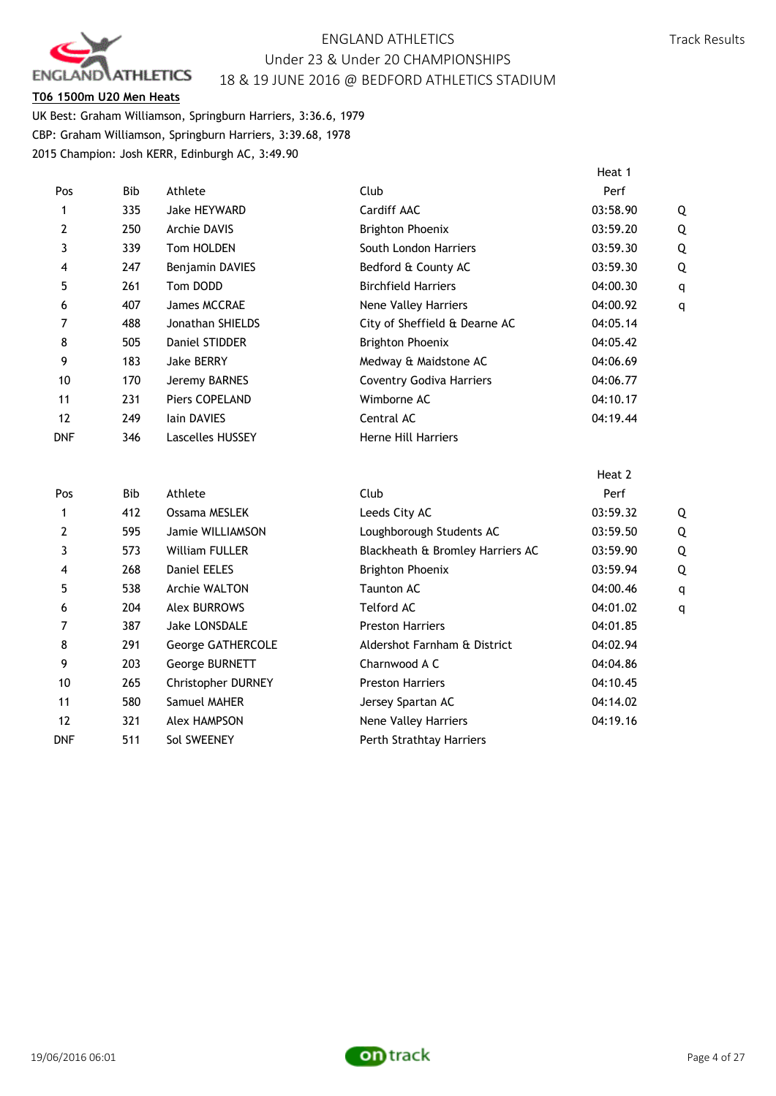

## **T06 1500m U20 Men Heats**

UK Best: Graham Williamson, Springburn Harriers, 3:36.6, 1979 CBP: Graham Williamson, Springburn Harriers, 3:39.68, 1978 2015 Champion: Josh KERR, Edinburgh AC, 3:49.90

|              |            |                         |                                  | Heat 1   |              |
|--------------|------------|-------------------------|----------------------------------|----------|--------------|
| Pos          | <b>Bib</b> | Athlete                 | Club                             | Perf     |              |
| 1            | 335        | <b>Jake HEYWARD</b>     | Cardiff AAC                      | 03:58.90 | Q            |
| 2            | 250        | <b>Archie DAVIS</b>     | <b>Brighton Phoenix</b>          | 03:59.20 | Q            |
| 3            | 339        | Tom HOLDEN              | South London Harriers            | 03:59.30 | Q            |
| 4            | 247        | Benjamin DAVIES         | Bedford & County AC              | 03:59.30 | Q            |
| 5            | 261        | Tom DODD                | <b>Birchfield Harriers</b>       | 04:00.30 | q            |
| 6            | 407        | James MCCRAE            | Nene Valley Harriers             | 04:00.92 | $\mathsf{q}$ |
| 7            | 488        | Jonathan SHIELDS        | City of Sheffield & Dearne AC    | 04:05.14 |              |
| 8            | 505        | Daniel STIDDER          | <b>Brighton Phoenix</b>          | 04:05.42 |              |
| 9            | 183        | <b>Jake BERRY</b>       | Medway & Maidstone AC            | 04:06.69 |              |
| 10           | 170        | Jeremy BARNES           | <b>Coventry Godiva Harriers</b>  | 04:06.77 |              |
| 11           | 231        | Piers COPELAND          | Wimborne AC                      | 04:10.17 |              |
| 12           | 249        | lain DAVIES             | Central AC                       | 04:19.44 |              |
| <b>DNF</b>   | 346        | <b>Lascelles HUSSEY</b> | Herne Hill Harriers              |          |              |
|              |            |                         |                                  | Heat 2   |              |
| Pos          | <b>Bib</b> | Athlete                 | Club                             | Perf     |              |
| $\mathbf{1}$ | 412        | Ossama MESLEK           | Leeds City AC                    | 03:59.32 | Q            |
| 2            | 595        | Jamie WILLIAMSON        | Loughborough Students AC         | 03:59.50 | Q            |
| 3            | 573        | <b>William FULLER</b>   | Blackheath & Bromley Harriers AC | 03:59.90 | Q            |
| 4            | 268        | <b>Daniel EELES</b>     | <b>Brighton Phoenix</b>          | 03:59.94 | Q            |
| 5            | 538        | Archie WALTON           | <b>Taunton AC</b>                | 04:00.46 | q            |
| 6            | 204        | <b>Alex BURROWS</b>     | <b>Telford AC</b>                | 04:01.02 | q            |
| 7            | 387        | Jake LONSDALE           | <b>Preston Harriers</b>          | 04:01.85 |              |
| 8            | 291        | George GATHERCOLE       | Aldershot Farnham & District     | 04:02.94 |              |
| 9            | 203        | George BURNETT          | Charnwood A C                    | 04:04.86 |              |
| 10           | 265        | Christopher DURNEY      | <b>Preston Harriers</b>          | 04:10.45 |              |
| 11           | 580        | Samuel MAHER            | Jersey Spartan AC                | 04:14.02 |              |
| 12           | 321        | <b>Alex HAMPSON</b>     | Nene Valley Harriers             | 04:19.16 |              |
| <b>DNF</b>   | 511        | Sol SWEENEY             | Perth Strathtay Harriers         |          |              |

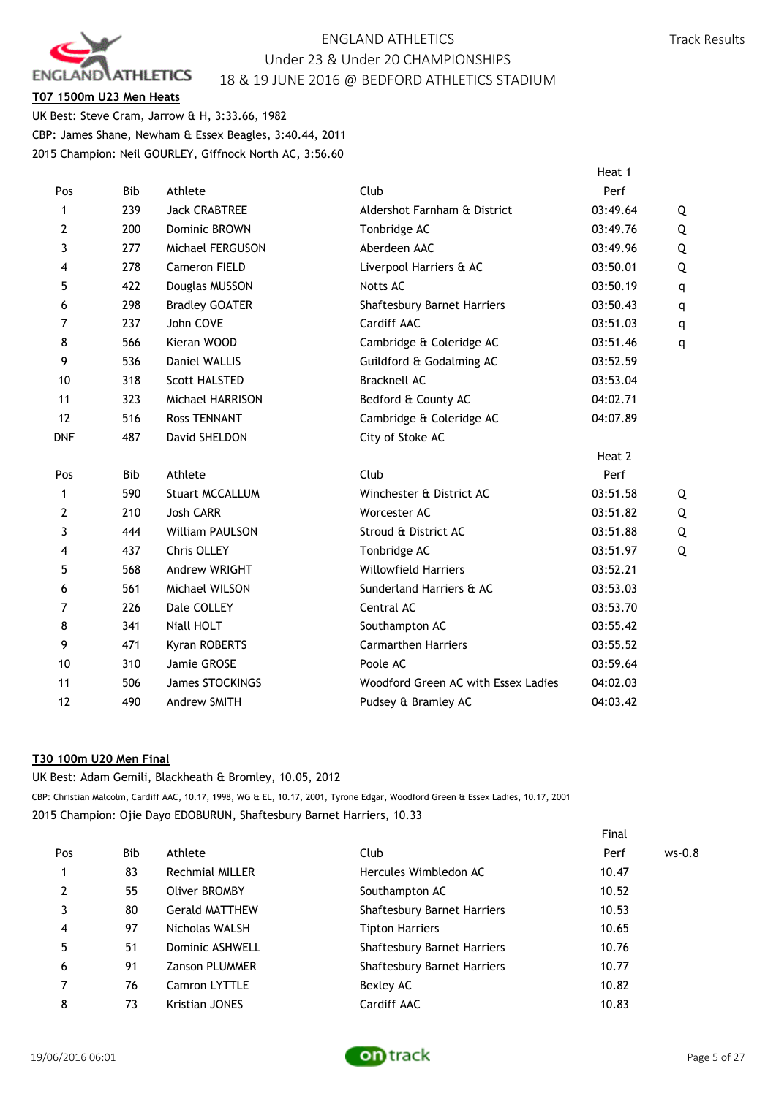

Track Results

# **T07 1500m U23 Men Heats**

UK Best: Steve Cram, Jarrow & H, 3:33.66, 1982 CBP: James Shane, Newham & Essex Beagles, 3:40.44, 2011 2015 Champion: Neil GOURLEY, Giffnock North AC, 3:56.60

|            |            |                        |                                     | Heat 1   |   |
|------------|------------|------------------------|-------------------------------------|----------|---|
| Pos        | <b>Bib</b> | Athlete                | Club                                | Perf     |   |
| 1          | 239        | <b>Jack CRABTREE</b>   | Aldershot Farnham & District        | 03:49.64 | Q |
| 2          | 200        | Dominic BROWN          | Tonbridge AC                        | 03:49.76 | Q |
| 3          | 277        | Michael FERGUSON       | Aberdeen AAC                        | 03:49.96 | Q |
| 4          | 278        | Cameron FIELD          | Liverpool Harriers & AC             | 03:50.01 | Q |
| 5          | 422        | Douglas MUSSON         | Notts AC                            | 03:50.19 | q |
| 6          | 298        | <b>Bradley GOATER</b>  | <b>Shaftesbury Barnet Harriers</b>  | 03:50.43 | q |
| 7          | 237        | John COVE              | Cardiff AAC                         | 03:51.03 | q |
| 8          | 566        | Kieran WOOD            | Cambridge & Coleridge AC            | 03:51.46 | q |
| 9          | 536        | Daniel WALLIS          | Guildford & Godalming AC            | 03:52.59 |   |
| 10         | 318        | <b>Scott HALSTED</b>   | <b>Bracknell AC</b>                 | 03:53.04 |   |
| 11         | 323        | Michael HARRISON       | Bedford & County AC                 | 04:02.71 |   |
| 12         | 516        | <b>Ross TENNANT</b>    | Cambridge & Coleridge AC            | 04:07.89 |   |
| <b>DNF</b> | 487        | David SHELDON          | City of Stoke AC                    |          |   |
|            |            |                        |                                     | Heat 2   |   |
| Pos        | <b>Bib</b> | Athlete                | Club                                | Perf     |   |
| 1          | 590        | <b>Stuart MCCALLUM</b> | Winchester & District AC            | 03:51.58 | Q |
| 2          | 210        | <b>Josh CARR</b>       | Worcester AC                        | 03:51.82 | Q |
| 3          | 444        | <b>William PAULSON</b> | Stroud & District AC                | 03:51.88 | Q |
| 4          | 437        | Chris OLLEY            | Tonbridge AC                        | 03:51.97 | Q |
| 5          | 568        | Andrew WRIGHT          | <b>Willowfield Harriers</b>         | 03:52.21 |   |
| 6          | 561        | Michael WILSON         | Sunderland Harriers & AC            | 03:53.03 |   |
| 7          | 226        | Dale COLLEY            | Central AC                          | 03:53.70 |   |
| 8          | 341        | Niall HOLT             | Southampton AC                      | 03:55.42 |   |
| 9          | 471        | Kyran ROBERTS          | <b>Carmarthen Harriers</b>          | 03:55.52 |   |
| 10         | 310        | Jamie GROSE            | Poole AC                            | 03:59.64 |   |
| 11         | 506        | <b>James STOCKINGS</b> | Woodford Green AC with Essex Ladies | 04:02.03 |   |
| 12         | 490        | Andrew SMITH           | Pudsey & Bramley AC                 | 04:03.42 |   |
|            |            |                        |                                     |          |   |

# **T30 100m U20 Men Final**

UK Best: Adam Gemili, Blackheath & Bromley, 10.05, 2012

CBP: Christian Malcolm, Cardiff AAC, 10.17, 1998, WG & EL, 10.17, 2001, Tyrone Edgar, Woodford Green & Essex Ladies, 10.17, 2001 2015 Champion: Ojie Dayo EDOBURUN, Shaftesbury Barnet Harriers, 10.33

|     |     |                       |                                    | Final |          |
|-----|-----|-----------------------|------------------------------------|-------|----------|
| Pos | Bib | Athlete               | Club                               | Perf  | $ws-0.8$ |
|     | 83  | Rechmial MILLER       | Hercules Wimbledon AC              | 10.47 |          |
| 2   | 55  | <b>Oliver BROMBY</b>  | Southampton AC                     | 10.52 |          |
| 3   | 80  | <b>Gerald MATTHEW</b> | Shaftesbury Barnet Harriers        | 10.53 |          |
| 4   | 97  | Nicholas WALSH        | <b>Tipton Harriers</b>             | 10.65 |          |
| 5   | 51  | Dominic ASHWELL       | Shaftesbury Barnet Harriers        | 10.76 |          |
| 6   | 91  | <b>Zanson PLUMMER</b> | <b>Shaftesbury Barnet Harriers</b> | 10.77 |          |
| 7   | 76  | Camron LYTTLE         | Bexley AC                          | 10.82 |          |
| 8   | 73  | Kristian JONES        | Cardiff AAC                        | 10.83 |          |

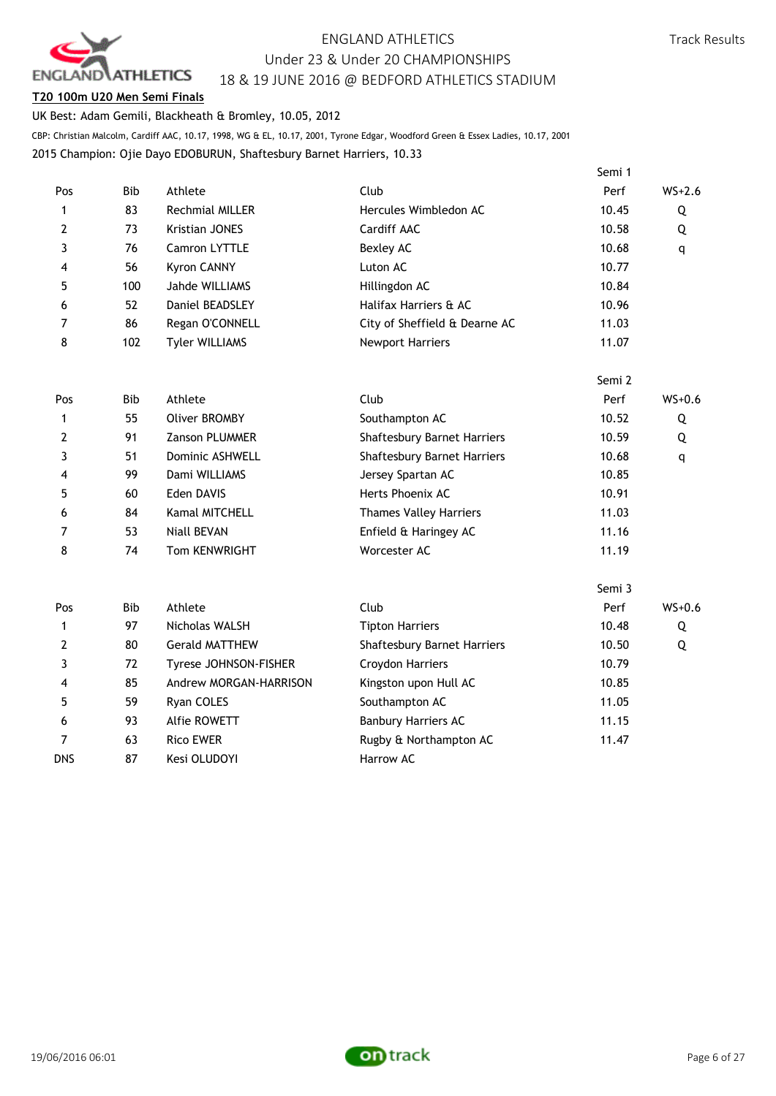

## **T20 100m U20 Men Semi Finals**

UK Best: Adam Gemili, Blackheath & Bromley, 10.05, 2012

CBP: Christian Malcolm, Cardiff AAC, 10.17, 1998, WG & EL, 10.17, 2001, Tyrone Edgar, Woodford Green & Essex Ladies, 10.17, 2001

2015 Champion: Ojie Dayo EDOBURUN, Shaftesbury Barnet Harriers, 10.33

|            |            |                        |                               | Semi 1 |          |
|------------|------------|------------------------|-------------------------------|--------|----------|
| Pos        | <b>Bib</b> | Athlete                | Club                          | Perf   | $WS+2.6$ |
| 1          | 83         | <b>Rechmial MILLER</b> | Hercules Wimbledon AC         | 10.45  | Q        |
| 2          | 73         | Kristian JONES         | Cardiff AAC                   | 10.58  | Q        |
| 3          | 76         | Camron LYTTLE          | Bexley AC                     | 10.68  | q        |
| 4          | 56         | <b>Kyron CANNY</b>     | Luton AC                      | 10.77  |          |
| 5          | 100        | Jahde WILLIAMS         | Hillingdon AC                 | 10.84  |          |
| 6          | 52         | Daniel BEADSLEY        | Halifax Harriers & AC         | 10.96  |          |
| 7          | 86         | Regan O'CONNELL        | City of Sheffield & Dearne AC | 11.03  |          |
| 8          | 102        | <b>Tyler WILLIAMS</b>  | Newport Harriers              | 11.07  |          |
|            |            |                        |                               | Semi 2 |          |
| Pos        | <b>Bib</b> | Athlete                | Club                          | Perf   | $WS+0.6$ |
| 1          | 55         | <b>Oliver BROMBY</b>   | Southampton AC                | 10.52  | Q        |
| 2          | 91         | Zanson PLUMMER         | Shaftesbury Barnet Harriers   | 10.59  | Q        |
| 3          | 51         | Dominic ASHWELL        | Shaftesbury Barnet Harriers   | 10.68  | q        |
| 4          | 99         | Dami WILLIAMS          | Jersey Spartan AC             | 10.85  |          |
| 5          | 60         | Eden DAVIS             | Herts Phoenix AC              | 10.91  |          |
| 6          | 84         | Kamal MITCHELL         | <b>Thames Valley Harriers</b> | 11.03  |          |
| 7          | 53         | <b>Niall BEVAN</b>     | Enfield & Haringey AC         | 11.16  |          |
| 8          | 74         | Tom KENWRIGHT          | Worcester AC                  | 11.19  |          |
|            |            |                        |                               | Semi 3 |          |
| Pos        | <b>Bib</b> | Athlete                | Club                          | Perf   | $WS+0.6$ |
| 1          | 97         | Nicholas WALSH         | <b>Tipton Harriers</b>        | 10.48  | Q        |
| 2          | 80         | <b>Gerald MATTHEW</b>  | Shaftesbury Barnet Harriers   | 10.50  | Q        |
| 3          | 72         | Tyrese JOHNSON-FISHER  | Croydon Harriers              | 10.79  |          |
| 4          | 85         | Andrew MORGAN-HARRISON | Kingston upon Hull AC         | 10.85  |          |
| 5          | 59         | Ryan COLES             | Southampton AC                | 11.05  |          |
| 6          | 93         | Alfie ROWETT           | <b>Banbury Harriers AC</b>    | 11.15  |          |
| 7          | 63         | <b>Rico EWER</b>       | Rugby & Northampton AC        | 11.47  |          |
| <b>DNS</b> | 87         | Kesi OLUDOYI           | Harrow AC                     |        |          |

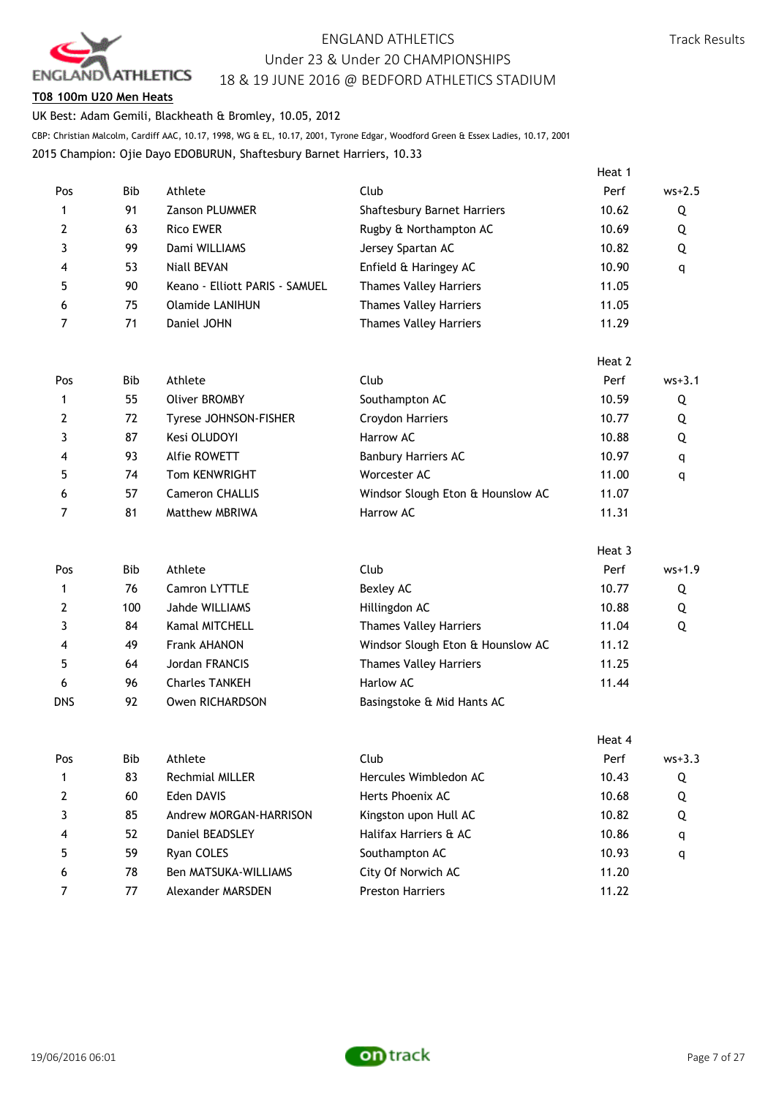

Heat 1

## **T08 100m U20 Men Heats**

UK Best: Adam Gemili, Blackheath & Bromley, 10.05, 2012

CBP: Christian Malcolm, Cardiff AAC, 10.17, 1998, WG & EL, 10.17, 2001, Tyrone Edgar, Woodford Green & Essex Ladies, 10.17, 2001

2015 Champion: Ojie Dayo EDOBURUN, Shaftesbury Barnet Harriers, 10.33

| Pos            | Bib        | Athlete                        | Club                               | Perf   | $ws+2.5$   |
|----------------|------------|--------------------------------|------------------------------------|--------|------------|
| 1              | 91         | Zanson PLUMMER                 | <b>Shaftesbury Barnet Harriers</b> | 10.62  | Q          |
| $\overline{2}$ | 63         | <b>Rico EWER</b>               | Rugby & Northampton AC             | 10.69  | Q          |
| 3              | 99         | Dami WILLIAMS                  | Jersey Spartan AC                  | 10.82  | Q          |
| 4              | 53         | <b>Niall BEVAN</b>             | Enfield & Haringey AC              | 10.90  | q          |
| 5              | 90         | Keano - Elliott PARIS - SAMUEL | <b>Thames Valley Harriers</b>      | 11.05  |            |
| 6              | 75         | <b>Olamide LANIHUN</b>         | Thames Valley Harriers             | 11.05  |            |
| 7              | 71         | Daniel JOHN                    | <b>Thames Valley Harriers</b>      | 11.29  |            |
|                |            |                                |                                    | Heat 2 |            |
| Pos            | Bib        | Athlete                        | Club                               | Perf   | $ws + 3.1$ |
| 1              | 55         | <b>Oliver BROMBY</b>           | Southampton AC                     | 10.59  | Q          |
| 2              | 72         | Tyrese JOHNSON-FISHER          | Croydon Harriers                   | 10.77  | Q          |
| 3              | 87         | Kesi OLUDOYI                   | Harrow AC                          | 10.88  | Q          |
| 4              | 93         | Alfie ROWETT                   | <b>Banbury Harriers AC</b>         | 10.97  | q          |
| 5              | 74         | Tom KENWRIGHT                  | Worcester AC                       | 11.00  | q          |
| 6              | 57         | <b>Cameron CHALLIS</b>         | Windsor Slough Eton & Hounslow AC  | 11.07  |            |
| 7              | 81         | Matthew MBRIWA                 | Harrow AC                          | 11.31  |            |
|                |            |                                |                                    | Heat 3 |            |
| Pos            | <b>Bib</b> | Athlete                        | Club                               | Perf   | $ws+1.9$   |
| $\mathbf{1}$   | 76         | Camron LYTTLE                  | Bexley AC                          | 10.77  | Q          |
| $\mathbf{2}$   | 100        | Jahde WILLIAMS                 | Hillingdon AC                      | 10.88  | Q          |
| 3              | 84         | Kamal MITCHELL                 | Thames Valley Harriers             | 11.04  | Q          |
| 4              | 49         | <b>Frank AHANON</b>            | Windsor Slough Eton & Hounslow AC  | 11.12  |            |
| 5              | 64         | Jordan FRANCIS                 | <b>Thames Valley Harriers</b>      | 11.25  |            |
| 6              | 96         | <b>Charles TANKEH</b>          | Harlow AC                          | 11.44  |            |
| <b>DNS</b>     | 92         | Owen RICHARDSON                | Basingstoke & Mid Hants AC         |        |            |
|                |            |                                |                                    | Heat 4 |            |
| Pos            | Bib        | Athlete                        | Club                               | Perf   | $ws + 3.3$ |
| 1              | 83         | Rechmial MILLER                | Hercules Wimbledon AC              | 10.43  | Q          |
| 2              | 60         | Eden DAVIS                     | Herts Phoenix AC                   | 10.68  | Q          |
| 3              | 85         | Andrew MORGAN-HARRISON         | Kingston upon Hull AC              | 10.82  | Q          |
| 4              | 52         | Daniel BEADSLEY                | Halifax Harriers & AC              | 10.86  | q          |
| 5              | 59         | Ryan COLES                     | Southampton AC                     | 10.93  | q          |



6 78 Ben MATSUKA-WILLIAMS City Of Norwich AC 11.20 7 7 Alexander MARSDEN Preston Harriers 11.22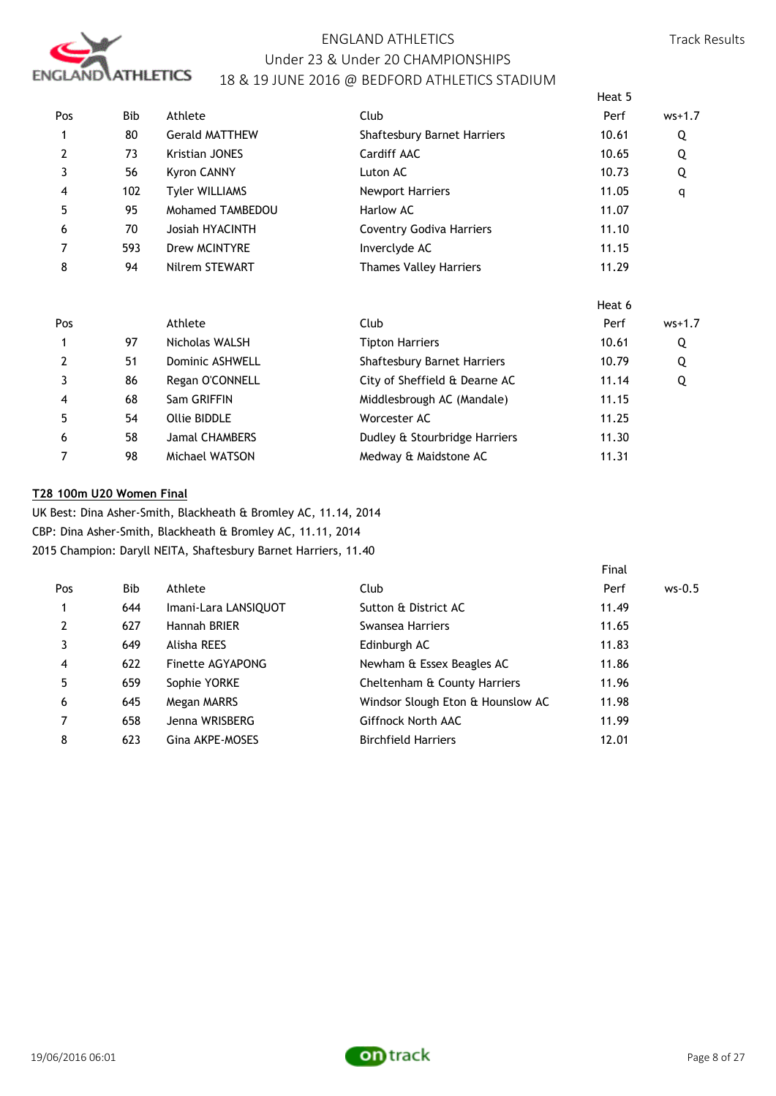

|     |            |                       |                                 | Heat 5 |          |
|-----|------------|-----------------------|---------------------------------|--------|----------|
| Pos | <b>Bib</b> | Athlete               | Club                            | Perf   | $ws+1.7$ |
| 1   | 80         | <b>Gerald MATTHEW</b> | Shaftesbury Barnet Harriers     | 10.61  | Q        |
| 2   | 73         | <b>Kristian JONES</b> | Cardiff AAC                     | 10.65  | Q        |
| 3   | 56         | <b>Kyron CANNY</b>    | Luton AC                        | 10.73  | Q        |
| 4   | 102        | <b>Tyler WILLIAMS</b> | <b>Newport Harriers</b>         | 11.05  | q        |
| 5   | 95         | Mohamed TAMBEDOU      | Harlow AC                       | 11.07  |          |
| 6   | 70         | Josiah HYACINTH       | <b>Coventry Godiva Harriers</b> | 11.10  |          |
| 7   | 593        | Drew MCINTYRE         | Inverclyde AC                   | 11.15  |          |
| 8   | 94         | Nilrem STEWART        | <b>Thames Valley Harriers</b>   | 11.29  |          |
|     |            |                       |                                 | Heat 6 |          |
| Pos |            | Athlete               | Club                            | Perf   | $ws+1.7$ |
| 1   | 97         | Nicholas WALSH        | <b>Tipton Harriers</b>          | 10.61  | Q        |
| 2   | 51         | Dominic ASHWELL       | Shaftesbury Barnet Harriers     | 10.79  | Q        |
| 3   | 86         | Regan O'CONNELL       | City of Sheffield & Dearne AC   | 11.14  | Q        |
| 4   | 68         | Sam GRIFFIN           | Middlesbrough AC (Mandale)      | 11.15  |          |
| 5   | 54         | <b>Ollie BIDDLE</b>   | Worcester AC                    | 11.25  |          |
| 6   | 58         | <b>Jamal CHAMBERS</b> | Dudley & Stourbridge Harriers   | 11.30  |          |
| 7   | 98         | Michael WATSON        | Medway & Maidstone AC           | 11.31  |          |

## **T28 100m U20 Women Final**

UK Best: Dina Asher-Smith, Blackheath & Bromley AC, 11.14, 2014 CBP: Dina Asher-Smith, Blackheath & Bromley AC, 11.11, 2014 2015 Champion: Daryll NEITA, Shaftesbury Barnet Harriers, 11.40

|                |      |                      |                                   | Final |          |
|----------------|------|----------------------|-----------------------------------|-------|----------|
| Pos            | Bib. | Athlete              | Club                              | Perf  | $ws-0.5$ |
|                | 644  | Imani-Lara LANSIQUOT | Sutton & District AC              | 11.49 |          |
| $\overline{2}$ | 627  | Hannah BRIER         | Swansea Harriers                  | 11.65 |          |
|                | 649  | Alisha REES          | Edinburgh AC                      | 11.83 |          |
| 4              | 622  | Finette AGYAPONG     | Newham & Essex Beagles AC         | 11.86 |          |
| 5              | 659  | Sophie YORKE         | Cheltenham & County Harriers      | 11.96 |          |
| 6              | 645  | Megan MARRS          | Windsor Slough Eton & Hounslow AC | 11.98 |          |
| 7              | 658  | Jenna WRISBERG       | Giffnock North AAC                | 11.99 |          |
| 8              | 623  | Gina AKPE-MOSES      | <b>Birchfield Harriers</b>        | 12.01 |          |
|                |      |                      |                                   |       |          |

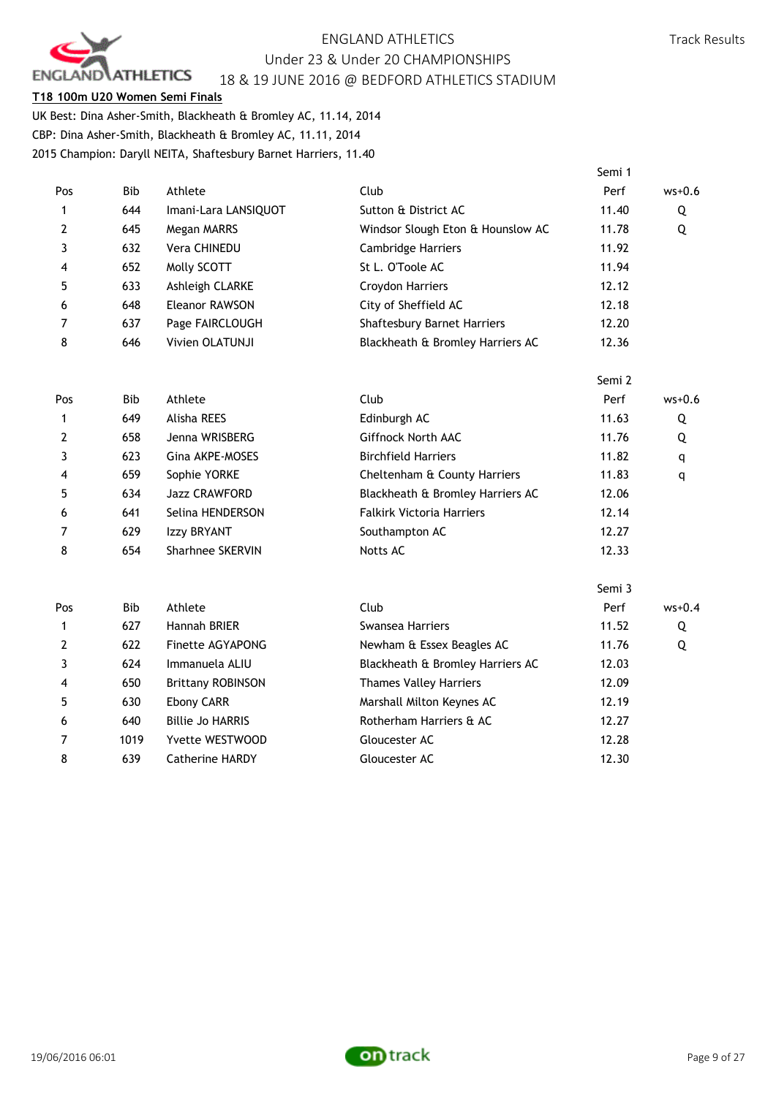

## **T18 100m U20 Women Semi Finals**

UK Best: Dina Asher-Smith, Blackheath & Bromley AC, 11.14, 2014 CBP: Dina Asher-Smith, Blackheath & Bromley AC, 11.11, 2014 2015 Champion: Daryll NEITA, Shaftesbury Barnet Harriers, 11.40

|                |            |                          |                                    | Semi 1 |          |
|----------------|------------|--------------------------|------------------------------------|--------|----------|
| Pos            | <b>Bib</b> | Athlete                  | Club                               | Perf   | $ws+0.6$ |
| 1              | 644        | Imani-Lara LANSIQUOT     | Sutton & District AC               | 11.40  | Q        |
| 2              | 645        | Megan MARRS              | Windsor Slough Eton & Hounslow AC  | 11.78  | Q        |
| 3              | 632        | Vera CHINEDU             | Cambridge Harriers                 | 11.92  |          |
| 4              | 652        | Molly SCOTT              | St L. O'Toole AC                   | 11.94  |          |
| 5              | 633        | Ashleigh CLARKE          | Croydon Harriers                   | 12.12  |          |
| 6              | 648        | <b>Eleanor RAWSON</b>    | City of Sheffield AC               | 12.18  |          |
| 7              | 637        | Page FAIRCLOUGH          | <b>Shaftesbury Barnet Harriers</b> | 12.20  |          |
| 8              | 646        | Vivien OLATUNJI          | Blackheath & Bromley Harriers AC   | 12.36  |          |
|                |            |                          |                                    | Semi 2 |          |
| Pos            | <b>Bib</b> | Athlete                  | Club                               | Perf   | $ws+0.6$ |
| 1              | 649        | Alisha REES              | Edinburgh AC                       | 11.63  | Q        |
| 2              | 658        | Jenna WRISBERG           | <b>Giffnock North AAC</b>          | 11.76  | Q        |
| 3              | 623        | Gina AKPE-MOSES          | <b>Birchfield Harriers</b>         | 11.82  | q        |
| 4              | 659        | Sophie YORKE             | Cheltenham & County Harriers       | 11.83  | q        |
| 5              | 634        | Jazz CRAWFORD            | Blackheath & Bromley Harriers AC   | 12.06  |          |
| 6              | 641        | Selina HENDERSON         | <b>Falkirk Victoria Harriers</b>   | 12.14  |          |
| 7              | 629        | Izzy BRYANT              | Southampton AC                     | 12.27  |          |
| 8              | 654        | <b>Sharhnee SKERVIN</b>  | Notts AC                           | 12.33  |          |
|                |            |                          |                                    | Semi 3 |          |
| Pos            | <b>Bib</b> | Athlete                  | Club                               | Perf   | $ws+0.4$ |
| 1              | 627        | Hannah BRIER             | Swansea Harriers                   | 11.52  | Q        |
| $\overline{2}$ | 622        | Finette AGYAPONG         | Newham & Essex Beagles AC          | 11.76  | Q        |
| 3              | 624        | Immanuela ALIU           | Blackheath & Bromley Harriers AC   | 12.03  |          |
| 4              | 650        | <b>Brittany ROBINSON</b> | <b>Thames Valley Harriers</b>      | 12.09  |          |
| 5              | 630        | Ebony CARR               | Marshall Milton Keynes AC          | 12.19  |          |
| 6              | 640        | <b>Billie Jo HARRIS</b>  | Rotherham Harriers & AC            | 12.27  |          |
| 7              | 1019       | Yvette WESTWOOD          | Gloucester AC                      | 12.28  |          |
| 8              | 639        | <b>Catherine HARDY</b>   | Gloucester AC                      | 12.30  |          |
|                |            |                          |                                    |        |          |

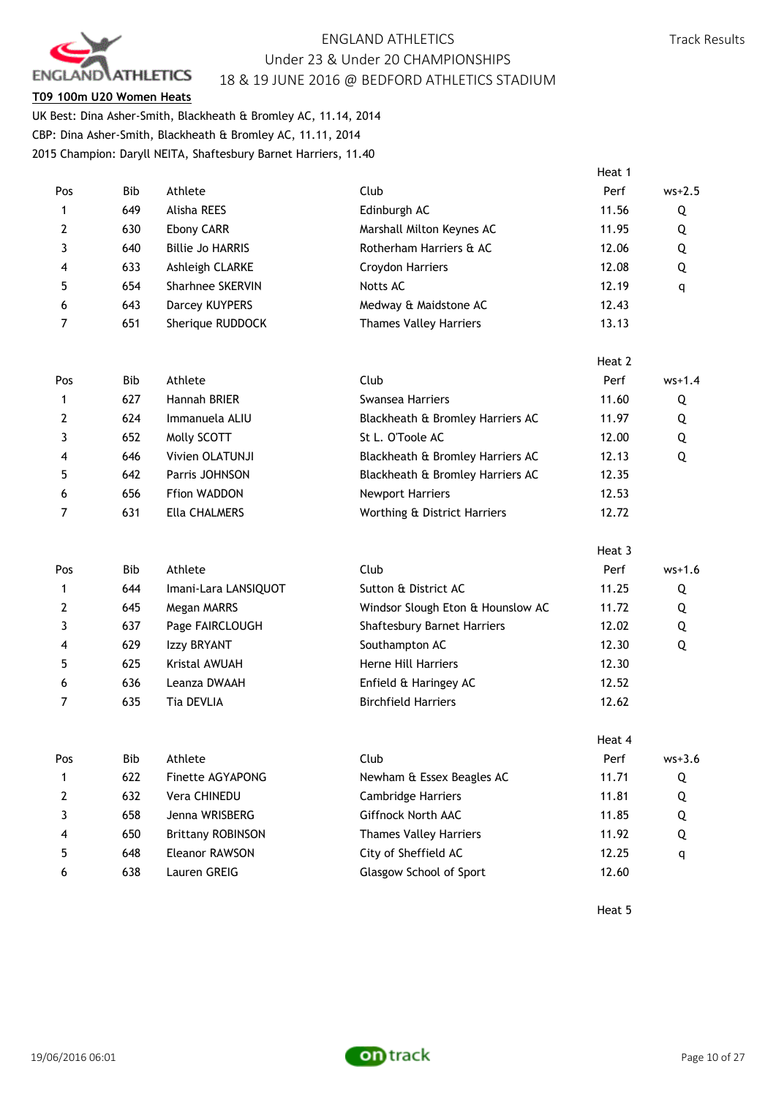

## **T09 100m U20 Women Heats**

UK Best: Dina Asher-Smith, Blackheath & Bromley AC, 11.14, 2014 CBP: Dina Asher-Smith, Blackheath & Bromley AC, 11.11, 2014 2015 Champion: Daryll NEITA, Shaftesbury Barnet Harriers, 11.40

|                |            |                          |                                   | Heat 1 |            |
|----------------|------------|--------------------------|-----------------------------------|--------|------------|
| Pos            | Bib        | Athlete                  | Club                              | Perf   | $ws+2.5$   |
| 1              | 649        | Alisha REES              | Edinburgh AC                      | 11.56  | Q          |
| 2              | 630        | Ebony CARR               | Marshall Milton Keynes AC         | 11.95  | Q          |
| 3              | 640        | <b>Billie Jo HARRIS</b>  | Rotherham Harriers & AC           | 12.06  | Q          |
| 4              | 633        | Ashleigh CLARKE          | Croydon Harriers                  | 12.08  | Q          |
| 5              | 654        | Sharhnee SKERVIN         | Notts AC                          | 12.19  | q          |
| 6              | 643        | Darcey KUYPERS           | Medway & Maidstone AC             | 12.43  |            |
| 7              | 651        | Sherique RUDDOCK         | <b>Thames Valley Harriers</b>     | 13.13  |            |
|                |            |                          |                                   | Heat 2 |            |
| Pos            | <b>Bib</b> | Athlete                  | Club                              | Perf   | $ws+1.4$   |
| 1              | 627        | Hannah BRIER             | <b>Swansea Harriers</b>           | 11.60  | Q          |
| $\mathbf{2}$   | 624        | Immanuela ALIU           | Blackheath & Bromley Harriers AC  | 11.97  | Q          |
| 3              | 652        | Molly SCOTT              | St L. O'Toole AC                  | 12.00  | Q          |
| 4              | 646        | Vivien OLATUNJI          | Blackheath & Bromley Harriers AC  | 12.13  | Q          |
| 5              | 642        | Parris JOHNSON           | Blackheath & Bromley Harriers AC  | 12.35  |            |
| 6              | 656        | Ffion WADDON             | <b>Newport Harriers</b>           | 12.53  |            |
| 7              | 631        | Ella CHALMERS            | Worthing & District Harriers      | 12.72  |            |
|                |            |                          |                                   | Heat 3 |            |
| Pos            | <b>Bib</b> | Athlete                  | Club                              | Perf   | $ws+1.6$   |
| 1              | 644        | Imani-Lara LANSIQUOT     | Sutton & District AC              | 11.25  | Q          |
| $\mathbf{2}$   | 645        | Megan MARRS              | Windsor Slough Eton & Hounslow AC | 11.72  | Q          |
| 3              | 637        | Page FAIRCLOUGH          | Shaftesbury Barnet Harriers       | 12.02  | Q          |
| 4              | 629        | Izzy BRYANT              | Southampton AC                    | 12.30  | Q          |
| 5              | 625        | Kristal AWUAH            | Herne Hill Harriers               | 12.30  |            |
| 6              | 636        | Leanza DWAAH             | Enfield & Haringey AC             | 12.52  |            |
| $\overline{7}$ | 635        | Tia DEVLIA               | <b>Birchfield Harriers</b>        | 12.62  |            |
|                |            |                          |                                   | Heat 4 |            |
| Pos            | Bib        | Athlete                  | Club                              | Perf   | $ws + 3.6$ |
| 1              | 622        | Finette AGYAPONG         | Newham & Essex Beagles AC         | 11.71  | Q          |
| 2              | 632        | Vera CHINEDU             | Cambridge Harriers                | 11.81  | Q          |
| 3              | 658        | Jenna WRISBERG           | Giffnock North AAC                | 11.85  | Q          |
| 4              | 650        | <b>Brittany ROBINSON</b> | <b>Thames Valley Harriers</b>     | 11.92  | Q          |
| 5              | 648        | Eleanor RAWSON           | City of Sheffield AC              | 12.25  | q          |
| 6              | 638        | Lauren GREIG             | <b>Glasgow School of Sport</b>    | 12.60  |            |

Heat 5

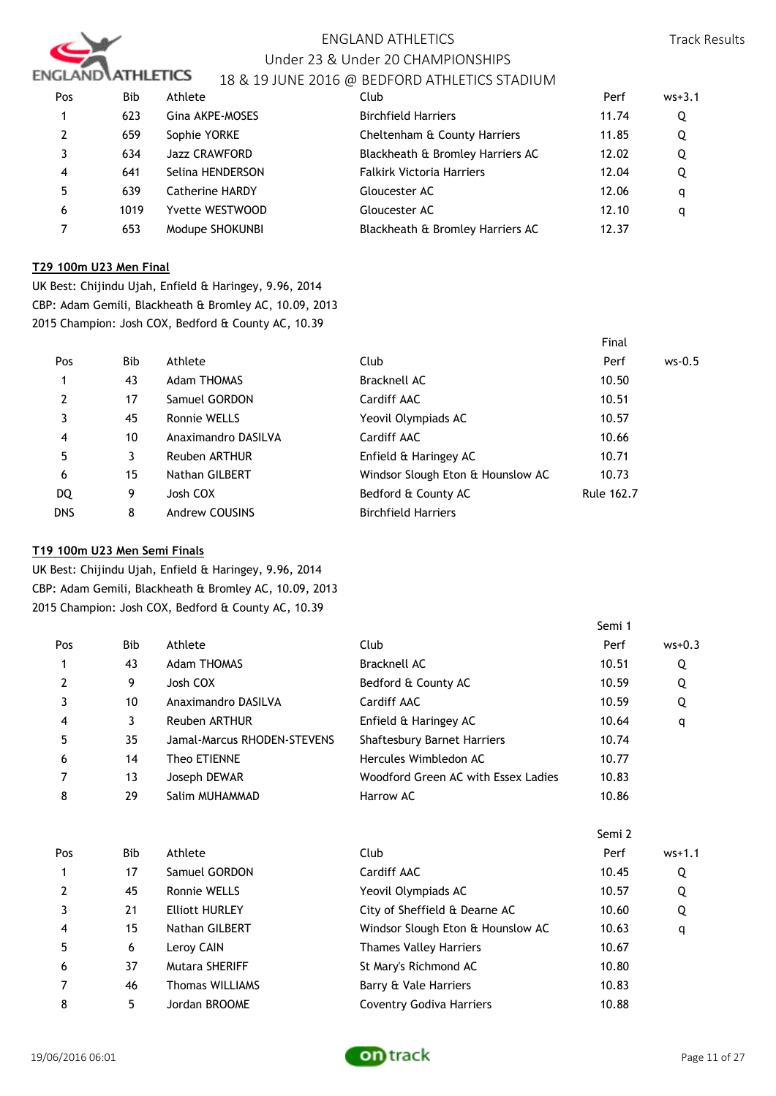

# ENGLAND ATHLETICS Under 23 & Under 20 CHAMPIONSHIPS

# 18 & 19 JUNE 2016 @ BEDFORD ATHLETICS STADIUM

| Pos            | <b>Bib</b> | Athlete                | Club                             | Perf  | $ws + 3.1$ |
|----------------|------------|------------------------|----------------------------------|-------|------------|
|                | 623        | Gina AKPE-MOSES        | <b>Birchfield Harriers</b>       | 11.74 | Q          |
| $\overline{2}$ | 659        | Sophie YORKE           | Cheltenham & County Harriers     | 11.85 | Q          |
|                | 634        | <b>Jazz CRAWFORD</b>   | Blackheath & Bromley Harriers AC | 12.02 | Q          |
| 4              | 641        | Selina HENDERSON       | <b>Falkirk Victoria Harriers</b> | 12.04 | Q          |
| 5              | 639        | <b>Catherine HARDY</b> | Gloucester AC                    | 12.06 | a          |
| 6              | 1019       | Yvette WESTWOOD        | Gloucester AC                    | 12.10 | q          |
|                | 653        | Modupe SHOKUNBI        | Blackheath & Bromley Harriers AC | 12.37 |            |

## **T29 100m U23 Men Final**

UK Best: Chijindu Ujah, Enfield & Haringey, 9.96, 2014 CBP: Adam Gemili, Blackheath & Bromley AC, 10.09, 2013 2015 Champion: Josh COX, Bedford & County AC, 10.39

|                |            |                      |                                   | Final      |          |
|----------------|------------|----------------------|-----------------------------------|------------|----------|
| Pos            | <b>Bib</b> | Athlete              | Club                              | Perf       | $ws-0.5$ |
| 1              | 43         | <b>Adam THOMAS</b>   | Bracknell AC                      | 10.50      |          |
| $\overline{2}$ | 17         | Samuel GORDON        | Cardiff AAC                       | 10.51      |          |
|                | 45         | Ronnie WELLS         | Yeovil Olympiads AC               | 10.57      |          |
| 4              | 10         | Anaximandro DASILVA  | Cardiff AAC                       | 10.66      |          |
| 5              | 3          | <b>Reuben ARTHUR</b> | Enfield & Haringey AC             | 10.71      |          |
| 6              | 15         | Nathan GILBERT       | Windsor Slough Eton & Hounslow AC | 10.73      |          |
| DQ             | 9          | Josh COX             | Bedford & County AC               | Rule 162.7 |          |
| <b>DNS</b>     | 8          | Andrew COUSINS       | <b>Birchfield Harriers</b>        |            |          |

## **T19 100m U23 Men Semi Finals**

UK Best: Chijindu Ujah, Enfield & Haringey, 9.96, 2014 CBP: Adam Gemili, Blackheath & Bromley AC, 10.09, 2013 2015 Champion: Josh COX, Bedford & County AC, 10.39

| Pos | Bib        | Athlete                     | Club                                | Perf   | $ws+0.3$   |
|-----|------------|-----------------------------|-------------------------------------|--------|------------|
|     | 43         | <b>Adam THOMAS</b>          | Bracknell AC                        | 10.51  | Q          |
| 2   | 9          | Josh COX                    | Bedford & County AC                 | 10.59  | Q          |
| 3   | 10         | Anaximandro DASILVA         | Cardiff AAC                         | 10.59  | Q          |
| 4   | 3          | <b>Reuben ARTHUR</b>        | Enfield & Haringey AC               | 10.64  | q          |
| 5   | 35         | Jamal-Marcus RHODEN-STEVENS | <b>Shaftesbury Barnet Harriers</b>  | 10.74  |            |
| 6   | 14         | Theo ETIENNE                | Hercules Wimbledon AC               | 10.77  |            |
|     | 13         | Joseph DEWAR                | Woodford Green AC with Essex Ladies | 10.83  |            |
| 8   | 29         | Salim MUHAMMAD              | Harrow AC                           | 10.86  |            |
|     |            |                             |                                     | Semi 2 |            |
|     |            |                             |                                     |        |            |
| Pos | <b>Bib</b> | Athlete                     | Club                                | Perf   | $ws + 1.1$ |
|     | 17         | Samuel GORDON               | Cardiff AAC                         | 10.45  | Q          |
| 2   | 45         | Ronnie WELLS                | Yeovil Olympiads AC                 | 10.57  | Q          |
| 3   | 21         | <b>Elliott HURLEY</b>       | City of Sheffield & Dearne AC       | 10.60  | Q          |
| 4   | 15         | Nathan GILBERT              | Windsor Slough Eton & Hounslow AC   | 10.63  | q          |
| 5   | 6          | Leroy CAIN                  | <b>Thames Valley Harriers</b>       | 10.67  |            |
| 6   | 37         | <b>Mutara SHERIFF</b>       | St Mary's Richmond AC               | 10.80  |            |
| 7   | 46         | <b>Thomas WILLIAMS</b>      | Barry & Vale Harriers               | 10.83  |            |



Semi 1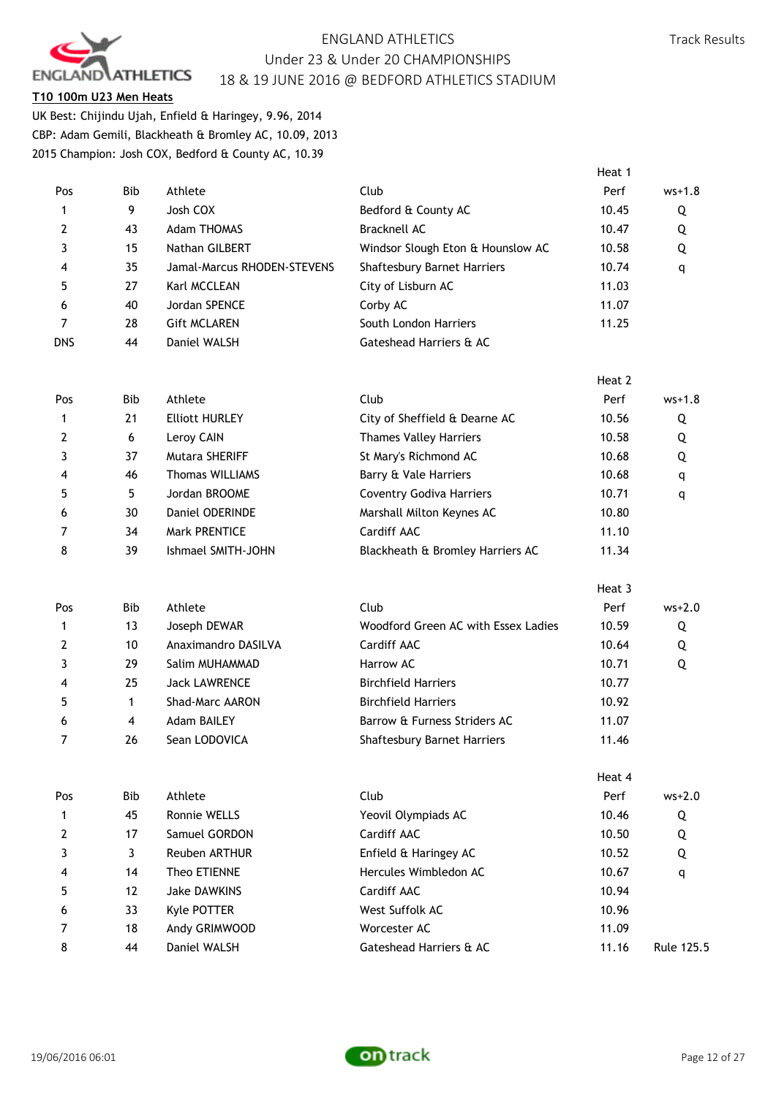

# **T10 100m U23 Men Heats**

UK Best: Chijindu Ujah, Enfield & Haringey, 9.96, 2014 CBP: Adam Gemili, Blackheath & Bromley AC, 10.09, 2013 2015 Champion: Josh COX, Bedford & County AC, 10.39

| Pos        | Bib          | Athlete                     | Club                                | Perf   | $ws+1.8$   |
|------------|--------------|-----------------------------|-------------------------------------|--------|------------|
| 1          | 9            | Josh COX                    | Bedford & County AC                 | 10.45  | Q          |
| 2          | 43           | <b>Adam THOMAS</b>          | <b>Bracknell AC</b>                 | 10.47  | Q          |
| 3          | 15           | Nathan GILBERT              | Windsor Slough Eton & Hounslow AC   | 10.58  | Q          |
| 4          | 35           | Jamal-Marcus RHODEN-STEVENS | <b>Shaftesbury Barnet Harriers</b>  | 10.74  | q          |
| 5          | 27           | Karl MCCLEAN                | City of Lisburn AC                  | 11.03  |            |
| 6          | 40           | Jordan SPENCE               | Corby AC                            | 11.07  |            |
| 7          | 28           | <b>Gift MCLAREN</b>         | South London Harriers               | 11.25  |            |
| <b>DNS</b> | 44           | Daniel WALSH                | Gateshead Harriers & AC             |        |            |
|            |              |                             |                                     | Heat 2 |            |
| Pos        | <b>Bib</b>   | Athlete                     | Club                                | Perf   | $ws + 1.8$ |
| 1          | 21           | <b>Elliott HURLEY</b>       | City of Sheffield & Dearne AC       | 10.56  | Q          |
| 2          | 6            | Leroy CAIN                  | <b>Thames Valley Harriers</b>       | 10.58  | Q          |
| 3          | 37           | Mutara SHERIFF              | St Mary's Richmond AC               | 10.68  | Q          |
| 4          | 46           | <b>Thomas WILLIAMS</b>      | Barry & Vale Harriers               | 10.68  | q          |
| 5          | 5            | Jordan BROOME               | <b>Coventry Godiva Harriers</b>     | 10.71  | q          |
| 6          | 30           | Daniel ODERINDE             | Marshall Milton Keynes AC           | 10.80  |            |
| 7          | 34           | Mark PRENTICE               | Cardiff AAC                         | 11.10  |            |
| 8          | 39           | Ishmael SMITH-JOHN          | Blackheath & Bromley Harriers AC    | 11.34  |            |
|            |              |                             |                                     | Heat 3 |            |
| Pos        | <b>Bib</b>   | Athlete                     | Club                                | Perf   | $ws+2.0$   |
| 1          | 13           | Joseph DEWAR                | Woodford Green AC with Essex Ladies | 10.59  | Q          |
| 2          | 10           | Anaximandro DASILVA         | Cardiff AAC                         | 10.64  | Q          |
| 3          | 29           | Salim MUHAMMAD              | Harrow AC                           | 10.71  | Q          |
| 4          | 25           | <b>Jack LAWRENCE</b>        | <b>Birchfield Harriers</b>          | 10.77  |            |
| 5          | $\mathbf 1$  | Shad-Marc AARON             | <b>Birchfield Harriers</b>          | 10.92  |            |
| 6          | 4            | <b>Adam BAILEY</b>          | Barrow & Furness Striders AC        | 11.07  |            |
| 7          | 26           | Sean LODOVICA               | Shaftesbury Barnet Harriers         | 11.46  |            |
|            |              |                             |                                     | Heat 4 |            |
| Pos        | Bib          | Athlete                     | Club                                | Perf   | $ws + 2.0$ |
| 1          | 45           | Ronnie WELLS                | Yeovil Olympiads AC                 | 10.46  | Q          |
| 2          | 17           | Samuel GORDON               | Cardiff AAC                         | 10.50  | Q          |
| 3          | $\mathbf{3}$ | Reuben ARTHUR               | Enfield & Haringey AC               | 10.52  | Q          |
| 4          | 14           | Theo ETIENNE                | Hercules Wimbledon AC               | 10.67  | q          |
| 5          | 12           | <b>Jake DAWKINS</b>         | Cardiff AAC                         | 10.94  |            |
| 6          | 33           | Kyle POTTER                 | West Suffolk AC                     | 10.96  |            |
| 7          | 18           | Andy GRIMWOOD               | Worcester AC                        | 11.09  |            |
| 8          | 44           | Daniel WALSH                | Gateshead Harriers & AC             | 11.16  | Rule 125.5 |

Heat 1

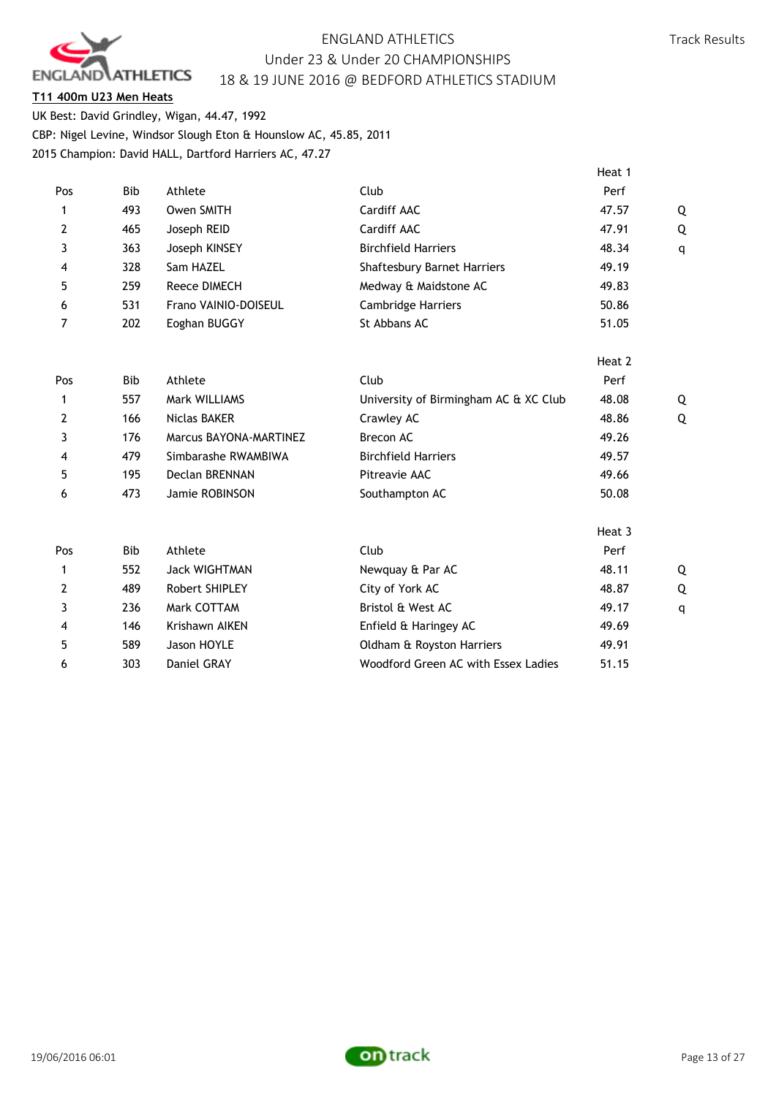

## **T11 400m U23 Men Heats**

UK Best: David Grindley, Wigan, 44.47, 1992 CBP: Nigel Levine, Windsor Slough Eton & Hounslow AC, 45.85, 2011 2015 Champion: David HALL, Dartford Harriers AC, 47.27

|                |            |                        |                                       | Heat 1 |   |
|----------------|------------|------------------------|---------------------------------------|--------|---|
| Pos            | <b>Bib</b> | Athlete                | Club                                  | Perf   |   |
| $\mathbf{1}$   | 493        | Owen SMITH             | Cardiff AAC                           | 47.57  | Q |
| 2              | 465        | Joseph REID            | Cardiff AAC                           | 47.91  | Q |
| 3              | 363        | Joseph KINSEY          | <b>Birchfield Harriers</b>            | 48.34  | q |
| 4              | 328        | Sam HAZEL              | <b>Shaftesbury Barnet Harriers</b>    | 49.19  |   |
| 5              | 259        | Reece DIMECH           | Medway & Maidstone AC                 | 49.83  |   |
| 6              | 531        | Frano VAINIO-DOISEUL   | Cambridge Harriers                    | 50.86  |   |
| 7              | 202        | Eoghan BUGGY           | St Abbans AC                          | 51.05  |   |
|                |            |                        |                                       | Heat 2 |   |
| Pos            | <b>Bib</b> | Athlete                | Club                                  | Perf   |   |
| $\mathbf{1}$   | 557        | Mark WILLIAMS          | University of Birmingham AC & XC Club | 48.08  | Q |
| $\overline{2}$ | 166        | <b>Niclas BAKER</b>    | Crawley AC                            | 48.86  | Q |
| 3              | 176        | Marcus BAYONA-MARTINEZ | Brecon AC                             | 49.26  |   |
| 4              | 479        | Simbarashe RWAMBIWA    | <b>Birchfield Harriers</b>            | 49.57  |   |
| 5              | 195        | <b>Declan BRENNAN</b>  | Pitreavie AAC                         | 49.66  |   |
| 6              | 473        | Jamie ROBINSON         | Southampton AC                        | 50.08  |   |
|                |            |                        |                                       | Heat 3 |   |
| Pos            | <b>Bib</b> | Athlete                | Club                                  | Perf   |   |
| 1              | 552        | <b>Jack WIGHTMAN</b>   | Newquay & Par AC                      | 48.11  | Q |
| $\overline{2}$ | 489        | Robert SHIPLEY         | City of York AC                       | 48.87  | Q |
| 3              | 236        | Mark COTTAM            | Bristol & West AC                     | 49.17  | q |
| 4              | 146        | Krishawn AIKEN         | Enfield & Haringey AC                 | 49.69  |   |
| 5              | 589        | Jason HOYLE            | Oldham & Royston Harriers             | 49.91  |   |
| 6              | 303        | Daniel GRAY            | Woodford Green AC with Essex Ladies   | 51.15  |   |
|                |            |                        |                                       |        |   |

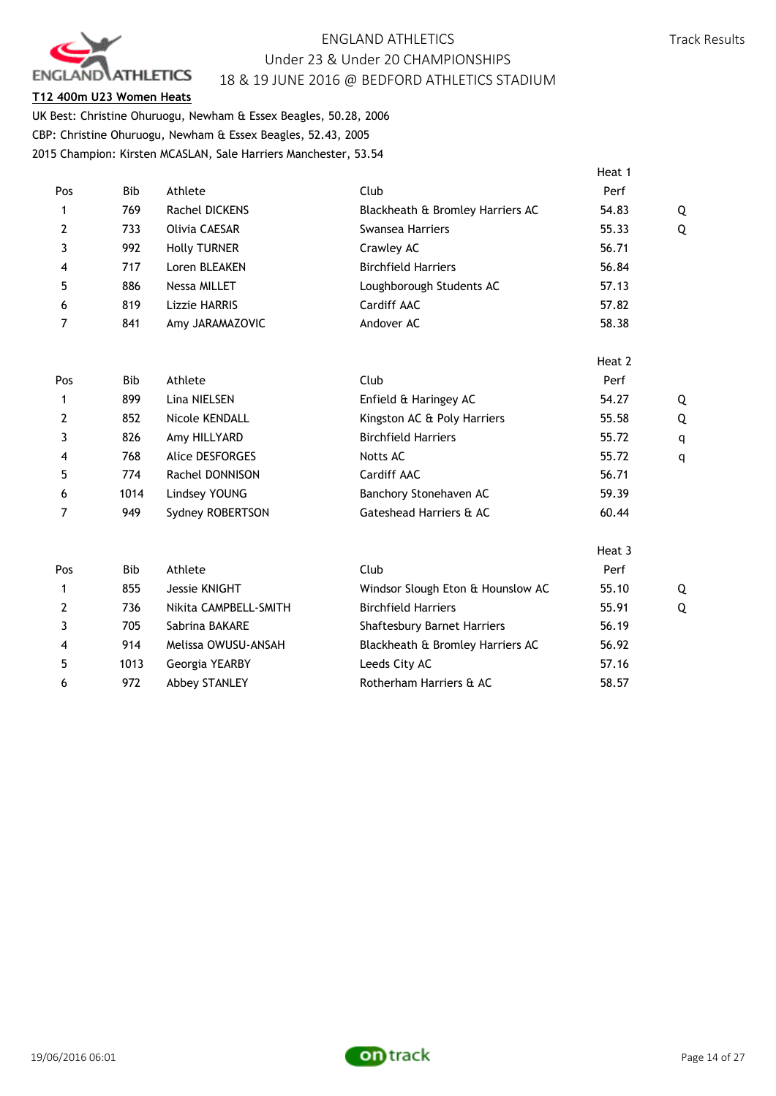

## **T12 400m U23 Women Heats**

UK Best: Christine Ohuruogu, Newham & Essex Beagles, 50.28, 2006 CBP: Christine Ohuruogu, Newham & Essex Beagles, 52.43, 2005 2015 Champion: Kirsten MCASLAN, Sale Harriers Manchester, 53.54

|                |            |                       |                                    | Heat 1 |   |
|----------------|------------|-----------------------|------------------------------------|--------|---|
| Pos            | <b>Bib</b> | Athlete               | Club                               | Perf   |   |
| 1              | 769        | Rachel DICKENS        | Blackheath & Bromley Harriers AC   | 54.83  | Q |
| $\mathbf{2}$   | 733        | Olivia CAESAR         | Swansea Harriers                   | 55.33  | Q |
| 3              | 992        | <b>Holly TURNER</b>   | Crawley AC                         | 56.71  |   |
| 4              | 717        | Loren BLEAKEN         | <b>Birchfield Harriers</b>         | 56.84  |   |
| 5              | 886        | <b>Nessa MILLET</b>   | Loughborough Students AC           | 57.13  |   |
| 6              | 819        | Lizzie HARRIS         | Cardiff AAC                        | 57.82  |   |
| 7              | 841        | Amy JARAMAZOVIC       | Andover AC                         | 58.38  |   |
|                |            |                       |                                    | Heat 2 |   |
| Pos            | <b>Bib</b> | Athlete               | Club                               | Perf   |   |
| 1              | 899        | Lina NIELSEN          | Enfield & Haringey AC              | 54.27  | Q |
| $\overline{2}$ | 852        | Nicole KENDALL        | Kingston AC & Poly Harriers        | 55.58  | Q |
| 3              | 826        | Amy HILLYARD          | <b>Birchfield Harriers</b>         | 55.72  | q |
| 4              | 768        | Alice DESFORGES       | Notts AC                           | 55.72  | q |
| 5              | 774        | Rachel DONNISON       | Cardiff AAC                        | 56.71  |   |
| 6              | 1014       | Lindsey YOUNG         | Banchory Stonehaven AC             | 59.39  |   |
| 7              | 949        | Sydney ROBERTSON      | Gateshead Harriers & AC            | 60.44  |   |
|                |            |                       |                                    | Heat 3 |   |
| Pos            | <b>Bib</b> | Athlete               | Club                               | Perf   |   |
| 1              | 855        | Jessie KNIGHT         | Windsor Slough Eton & Hounslow AC  | 55.10  | Q |
| $\overline{2}$ | 736        | Nikita CAMPBELL-SMITH | <b>Birchfield Harriers</b>         | 55.91  | Q |
| 3              | 705        | Sabrina BAKARE        | <b>Shaftesbury Barnet Harriers</b> | 56.19  |   |

4 914 Melissa OWUSU-ANSAH Blackheath & Bromley Harriers AC 56.92 5 1013 Georgia YEARBY Leeds City AC 57.16 6 972 Abbey STANLEY Rotherham Harriers & AC 58.57

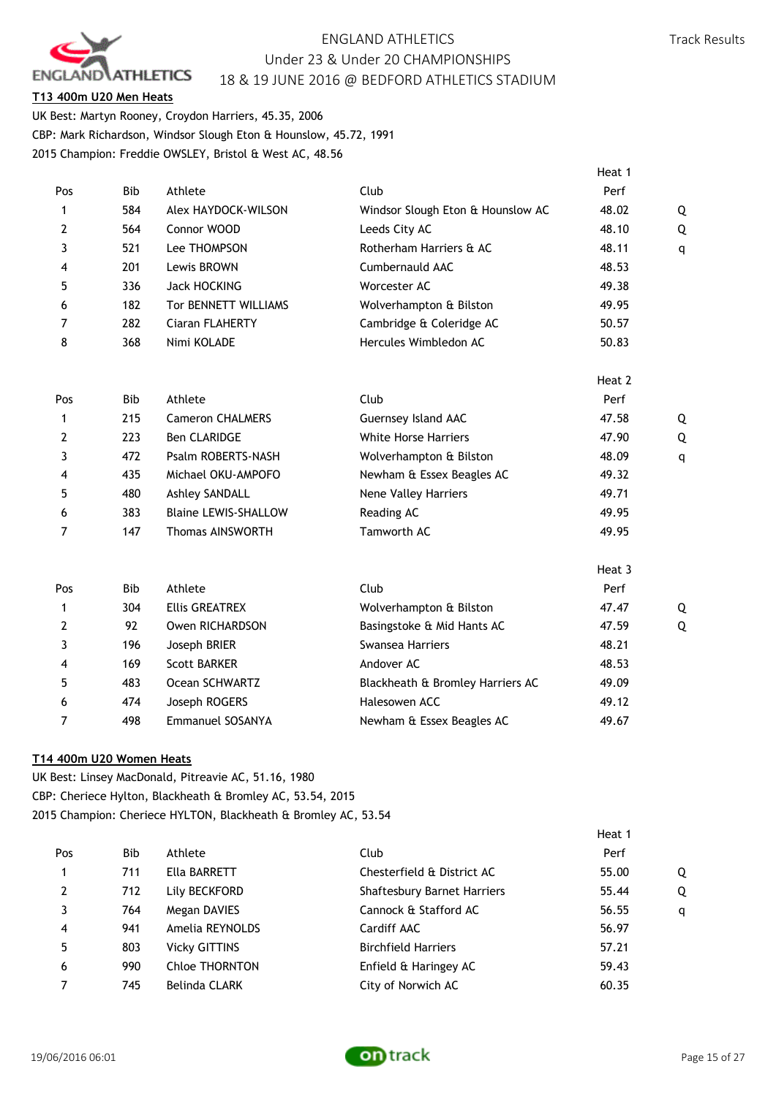

# Track Results

# **T13 400m U20 Men Heats**

UK Best: Martyn Rooney, Croydon Harriers, 45.35, 2006 CBP: Mark Richardson, Windsor Slough Eton & Hounslow, 45.72, 1991 2015 Champion: Freddie OWSLEY, Bristol & West AC, 48.56

|                |            |                             |                                   | Heat 1 |   |
|----------------|------------|-----------------------------|-----------------------------------|--------|---|
| Pos            | <b>Bib</b> | Athlete                     | Club                              | Perf   |   |
| 1              | 584        | Alex HAYDOCK-WILSON         | Windsor Slough Eton & Hounslow AC | 48.02  | Q |
| $\overline{2}$ | 564        | Connor WOOD                 | Leeds City AC                     | 48.10  | Q |
| 3              | 521        | Lee THOMPSON                | Rotherham Harriers & AC           | 48.11  | q |
| 4              | 201        | Lewis BROWN                 | Cumbernauld AAC                   | 48.53  |   |
| 5              | 336        | <b>Jack HOCKING</b>         | Worcester AC                      | 49.38  |   |
| 6              | 182        | Tor BENNETT WILLIAMS        | Wolverhampton & Bilston           | 49.95  |   |
| 7              | 282        | Ciaran FLAHERTY             | Cambridge & Coleridge AC          | 50.57  |   |
| 8              | 368        | Nimi KOLADE                 | Hercules Wimbledon AC             | 50.83  |   |
|                |            |                             |                                   | Heat 2 |   |
| Pos            | <b>Bib</b> | Athlete                     | Club                              | Perf   |   |
| 1              | 215        | <b>Cameron CHALMERS</b>     | Guernsey Island AAC               | 47.58  | Q |
| $\mathbf{2}$   | 223        | <b>Ben CLARIDGE</b>         | <b>White Horse Harriers</b>       | 47.90  | Q |
| 3              | 472        | Psalm ROBERTS-NASH          | Wolverhampton & Bilston           | 48.09  | q |
| 4              | 435        | Michael OKU-AMPOFO          | Newham & Essex Beagles AC         | 49.32  |   |
| 5              | 480        | <b>Ashley SANDALL</b>       | Nene Valley Harriers              | 49.71  |   |
| 6              | 383        | <b>Blaine LEWIS-SHALLOW</b> | Reading AC                        | 49.95  |   |
| $\overline{7}$ | 147        | <b>Thomas AINSWORTH</b>     | Tamworth AC                       | 49.95  |   |
|                |            |                             |                                   | Heat 3 |   |
| Pos            | <b>Bib</b> | Athlete                     | Club                              | Perf   |   |
| 1              | 304        | <b>Ellis GREATREX</b>       | Wolverhampton & Bilston           | 47.47  | Q |
| $\overline{2}$ | 92         | Owen RICHARDSON             | Basingstoke & Mid Hants AC        | 47.59  | Q |
| 3              | 196        | Joseph BRIER                | Swansea Harriers                  | 48.21  |   |
| 4              | 169        | <b>Scott BARKER</b>         | Andover AC                        | 48.53  |   |
| 5              | 483        | Ocean SCHWARTZ              | Blackheath & Bromley Harriers AC  | 49.09  |   |
| 6              | 474        | Joseph ROGERS               | Halesowen ACC                     | 49.12  |   |
| 7              | 498        | Emmanuel SOSANYA            | Newham & Essex Beagles AC         | 49.67  |   |
|                |            |                             |                                   |        |   |

# **T14 400m U20 Women Heats**

UK Best: Linsey MacDonald, Pitreavie AC, 51.16, 1980 CBP: Cheriece Hylton, Blackheath & Bromley AC, 53.54, 2015 2015 Champion: Cheriece HYLTON, Blackheath & Bromley AC, 53.54

|     |            |                       |                                    | Heat 1 |   |
|-----|------------|-----------------------|------------------------------------|--------|---|
| Pos | <b>Bib</b> | Athlete               | Club                               | Perf   |   |
| 1   | 711        | Ella BARRETT          | Chesterfield & District AC         | 55.00  | Q |
| 2   | 712        | Lily BECKFORD         | <b>Shaftesbury Barnet Harriers</b> | 55.44  | Q |
| 3   | 764        | Megan DAVIES          | Cannock & Stafford AC              | 56.55  | q |
| 4   | 941        | Amelia REYNOLDS       | Cardiff AAC                        | 56.97  |   |
| 5   | 803        | <b>Vicky GITTINS</b>  | <b>Birchfield Harriers</b>         | 57.21  |   |
| 6   | 990        | <b>Chloe THORNTON</b> | Enfield & Haringey AC              | 59.43  |   |
|     | 745        | <b>Belinda CLARK</b>  | City of Norwich AC                 | 60.35  |   |

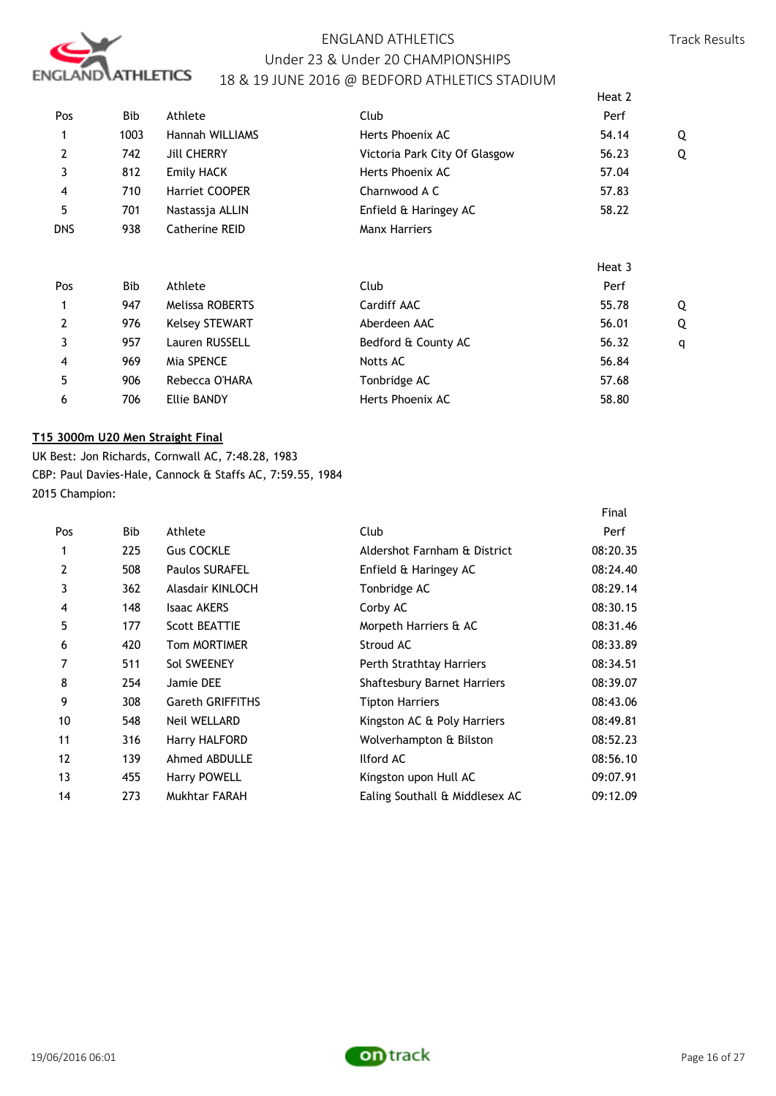

|                |            |                        |                               | Heat 2 |   |
|----------------|------------|------------------------|-------------------------------|--------|---|
| Pos            | Bib        | Athlete                | Club                          | Perf   |   |
| 1              | 1003       | <b>Hannah WILLIAMS</b> | Herts Phoenix AC              | 54.14  | Q |
| $\overline{2}$ | 742        | <b>Jill CHERRY</b>     | Victoria Park City Of Glasgow | 56.23  | Q |
| 3              | 812        | <b>Emily HACK</b>      | Herts Phoenix AC              | 57.04  |   |
| 4              | 710        | Harriet COOPER         | Charnwood A C                 | 57.83  |   |
| 5              | 701        | Nastassja ALLIN        | Enfield & Haringey AC         | 58.22  |   |
| <b>DNS</b>     | 938        | Catherine REID         | <b>Manx Harriers</b>          |        |   |
|                |            |                        |                               | Heat 3 |   |
| Pos            | <b>Bib</b> | Athlete                | Club                          | Perf   |   |
| 1              | 947        | <b>Melissa ROBERTS</b> | Cardiff AAC                   | 55.78  | Q |
| $\overline{2}$ | 976        | <b>Kelsey STEWART</b>  | Aberdeen AAC                  | 56.01  | Q |
| 3              | 957        | Lauren RUSSELL         | Bedford & County AC           | 56.32  | q |
| 4              | 969        | Mia SPENCE             | Notts AC                      | 56.84  |   |
| 5              | 906        | Rebecca O'HARA         | Tonbridge AC                  | 57.68  |   |
| 6              | 706        | <b>Ellie BANDY</b>     | Herts Phoenix AC              | 58.80  |   |

# **T15 3000m U20 Men Straight Final**

UK Best: Jon Richards, Cornwall AC, 7:48.28, 1983 CBP: Paul Davies-Hale, Cannock & Staffs AC, 7:59.55, 1984 2015 Champion:

|                |     |                         |                                    | Final    |
|----------------|-----|-------------------------|------------------------------------|----------|
| Pos            | Bib | Athlete                 | Club                               | Perf     |
| 1              | 225 | <b>Gus COCKLE</b>       | Aldershot Farnham & District       | 08:20.35 |
| $\overline{2}$ | 508 | <b>Paulos SURAFEL</b>   | Enfield & Haringey AC              | 08:24.40 |
| 3              | 362 | Alasdair KINLOCH        | Tonbridge AC                       | 08:29.14 |
| 4              | 148 | <b>Isaac AKERS</b>      | Corby AC                           | 08:30.15 |
| 5              | 177 | <b>Scott BEATTIE</b>    | Morpeth Harriers & AC              | 08:31.46 |
| 6              | 420 | <b>Tom MORTIMER</b>     | Stroud AC                          | 08:33.89 |
| 7              | 511 | Sol SWEENEY             | Perth Strathtay Harriers           | 08:34.51 |
| 8              | 254 | Jamie DEE               | <b>Shaftesbury Barnet Harriers</b> | 08:39.07 |
| 9              | 308 | <b>Gareth GRIFFITHS</b> | Tipton Harriers                    | 08:43.06 |
| 10             | 548 | <b>Neil WELLARD</b>     | Kingston AC & Poly Harriers        | 08:49.81 |
| 11             | 316 | Harry HALFORD           | Wolverhampton & Bilston            | 08:52.23 |
| 12             | 139 | Ahmed ABDULLE           | Ilford AC                          | 08:56.10 |
| 13             | 455 | Harry POWELL            | Kingston upon Hull AC              | 09:07.91 |
| 14             | 273 | Mukhtar FARAH           | Ealing Southall & Middlesex AC     | 09:12.09 |

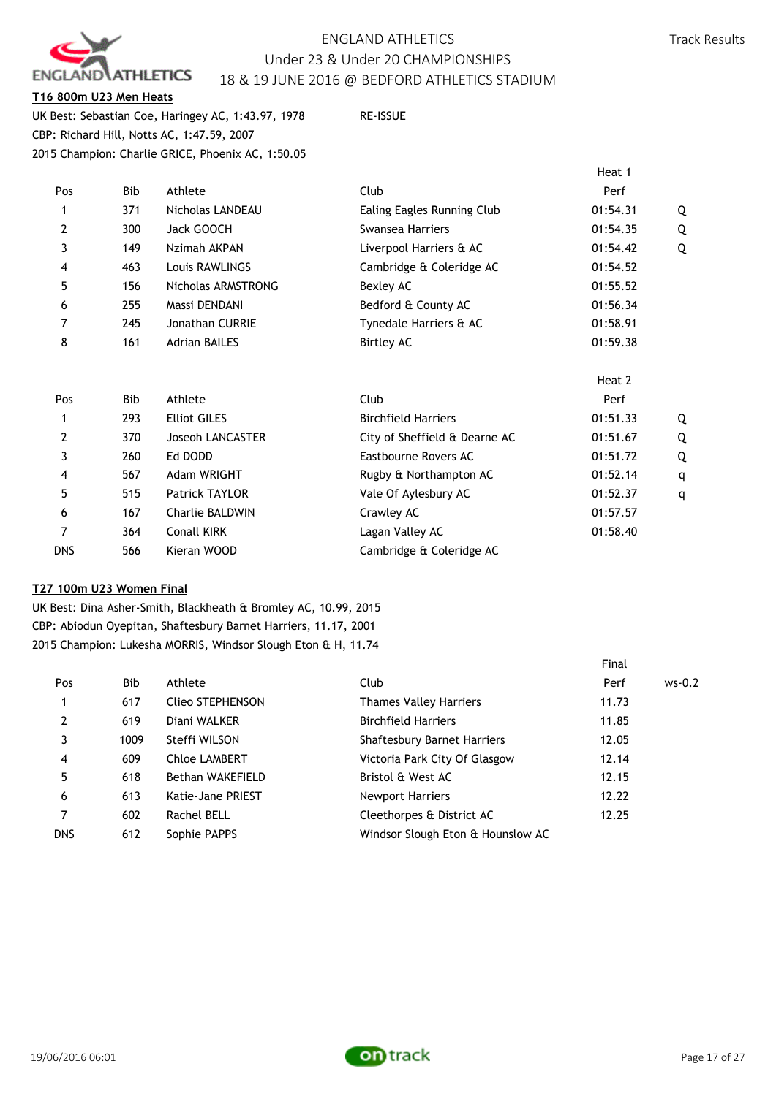

## **T16 800m U23 Men Heats**

UK Best: Sebastian Coe, Haringey AC, 1:43.97, 1978 RE-ISSUE CBP: Richard Hill, Notts AC, 1:47.59, 2007 2015 Champion: Charlie GRICE, Phoenix AC, 1:50.05

Heat 1 (1996) and the control of the control of the control of the control of the control of the control of the control of the control of the control of the control of the control of the control of the control of the contr

| Pos | Bib        | Athlete                 | Club                          | Perf     |   |
|-----|------------|-------------------------|-------------------------------|----------|---|
| 1   | 371        | Nicholas LANDEAU        | Ealing Eagles Running Club    | 01:54.31 | Q |
| 2   | 300        | Jack GOOCH              | Swansea Harriers              | 01:54.35 | 0 |
| 3   | 149        | Nzimah AKPAN            | Liverpool Harriers & AC       | 01:54.42 | 0 |
| 4   | 463        | Louis RAWLINGS          | Cambridge & Coleridge AC      | 01:54.52 |   |
| 5   | 156        | Nicholas ARMSTRONG      | Bexley AC                     | 01:55.52 |   |
| 6   | 255        | Massi DENDANI           | Bedford & County AC           | 01:56.34 |   |
| 7   | 245        | Jonathan CURRIE         | Tynedale Harriers & AC        | 01:58.91 |   |
| 8   | 161        | <b>Adrian BAILES</b>    | <b>Birtley AC</b>             | 01:59.38 |   |
|     |            |                         |                               | Heat 2   |   |
| Pos | <b>Bib</b> | Athlete                 | Club                          | Perf     |   |
| 1   | 293        | <b>Elliot GILES</b>     | <b>Birchfield Harriers</b>    | 01:51.33 |   |
| 2   | 370        | <b>Joseoh LANCASTER</b> | City of Sheffield & Dearne AC | 01:51.67 | 0 |
| 3   | 260        | Ed DODD                 | Eastbourne Rovers AC          | 01:51.72 | 0 |
| 4   | 567        | Adam WRIGHT             | Rugby & Northampton AC        | 01:52.14 | q |
| 5   | 515        | <b>Patrick TAYLOR</b>   | Vale Of Aylesbury AC          | 01:52.37 | q |
| 6   | 167        | <b>Charlie BALDWIN</b>  | Crawley AC                    | 01:57.57 |   |
| 7   | 364        | Conall KIRK             | Lagan Valley AC               | 01:58.40 |   |
| dns | 566        | Kieran WOOD             | Cambridge & Coleridge AC      |          |   |

### **T27 100m U23 Women Final**

UK Best: Dina Asher-Smith, Blackheath & Bromley AC, 10.99, 2015 CBP: Abiodun Oyepitan, Shaftesbury Barnet Harriers, 11.17, 2001 2015 Champion: Lukesha MORRIS, Windsor Slough Eton & H, 11.74

|            |      |                      |                                    | Final |          |
|------------|------|----------------------|------------------------------------|-------|----------|
| Pos        | Bib  | Athlete              | Club                               | Perf  | $ws-0.2$ |
|            | 617  | Clieo STEPHENSON     | <b>Thames Valley Harriers</b>      | 11.73 |          |
| 2          | 619  | Diani WALKER         | <b>Birchfield Harriers</b>         | 11.85 |          |
| 3          | 1009 | Steffi WILSON        | <b>Shaftesbury Barnet Harriers</b> | 12.05 |          |
| 4          | 609  | <b>Chloe LAMBERT</b> | Victoria Park City Of Glasgow      | 12.14 |          |
| 5          | 618  | Bethan WAKEFIELD     | Bristol & West AC                  | 12.15 |          |
| 6          | 613  | Katie-Jane PRIEST    | <b>Newport Harriers</b>            | 12.22 |          |
| 7          | 602  | Rachel BELL          | Cleethorpes & District AC          | 12.25 |          |
| <b>DNS</b> | 612  | Sophie PAPPS         | Windsor Slough Eton & Hounslow AC  |       |          |

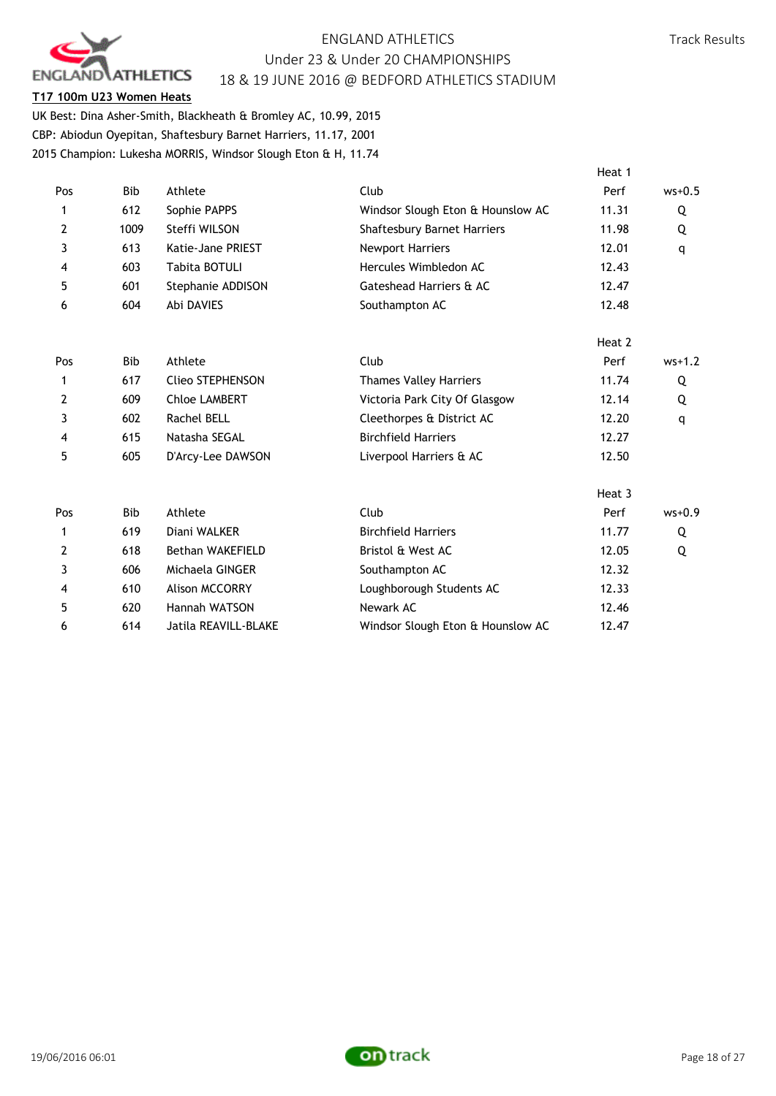

## **T17 100m U23 Women Heats**

UK Best: Dina Asher-Smith, Blackheath & Bromley AC, 10.99, 2015 CBP: Abiodun Oyepitan, Shaftesbury Barnet Harriers, 11.17, 2001 2015 Champion: Lukesha MORRIS, Windsor Slough Eton & H, 11.74

|                |            |                         |                                   | Heat 1 |          |
|----------------|------------|-------------------------|-----------------------------------|--------|----------|
| Pos            | <b>Bib</b> | Athlete                 | Club                              | Perf   | $ws+0.5$ |
| 1              | 612        | Sophie PAPPS            | Windsor Slough Eton & Hounslow AC | 11.31  | Q        |
| $\overline{2}$ | 1009       | Steffi WILSON           | Shaftesbury Barnet Harriers       | 11.98  | Q        |
| 3              | 613        | Katie-Jane PRIEST       | Newport Harriers                  | 12.01  | q        |
| 4              | 603        | Tabita BOTULI           | Hercules Wimbledon AC             | 12.43  |          |
| 5              | 601        | Stephanie ADDISON       | Gateshead Harriers & AC           | 12.47  |          |
| 6              | 604        | Abi DAVIES              | Southampton AC                    | 12.48  |          |
|                |            |                         |                                   | Heat 2 |          |
| Pos            | <b>Bib</b> | Athlete                 | Club                              | Perf   | $ws+1.2$ |
| 1              | 617        | <b>Clieo STEPHENSON</b> | <b>Thames Valley Harriers</b>     | 11.74  | Q        |
| 2              | 609        | <b>Chloe LAMBERT</b>    | Victoria Park City Of Glasgow     | 12.14  | Q        |
| 3              | 602        | Rachel BELL             | Cleethorpes & District AC         | 12.20  | q        |
| 4              | 615        | Natasha SEGAL           | <b>Birchfield Harriers</b>        | 12.27  |          |
| 5              | 605        | D'Arcy-Lee DAWSON       | Liverpool Harriers & AC           | 12.50  |          |
|                |            |                         |                                   | Heat 3 |          |
| Pos            | <b>Bib</b> | Athlete                 | Club                              | Perf   | $ws+0.9$ |
| 1              | 619        | Diani WALKER            | <b>Birchfield Harriers</b>        | 11.77  | Q        |
| 2              | 618        | <b>Bethan WAKEFIELD</b> | Bristol & West AC                 | 12.05  | Q        |
| 3              | 606        | Michaela GINGER         | Southampton AC                    | 12.32  |          |
| 4              | 610        | Alison MCCORRY          | Loughborough Students AC          | 12.33  |          |
| 5              | 620        | Hannah WATSON           | Newark AC                         | 12.46  |          |
| 6              | 614        | Jatila REAVILL-BLAKE    | Windsor Slough Eton & Hounslow AC | 12.47  |          |

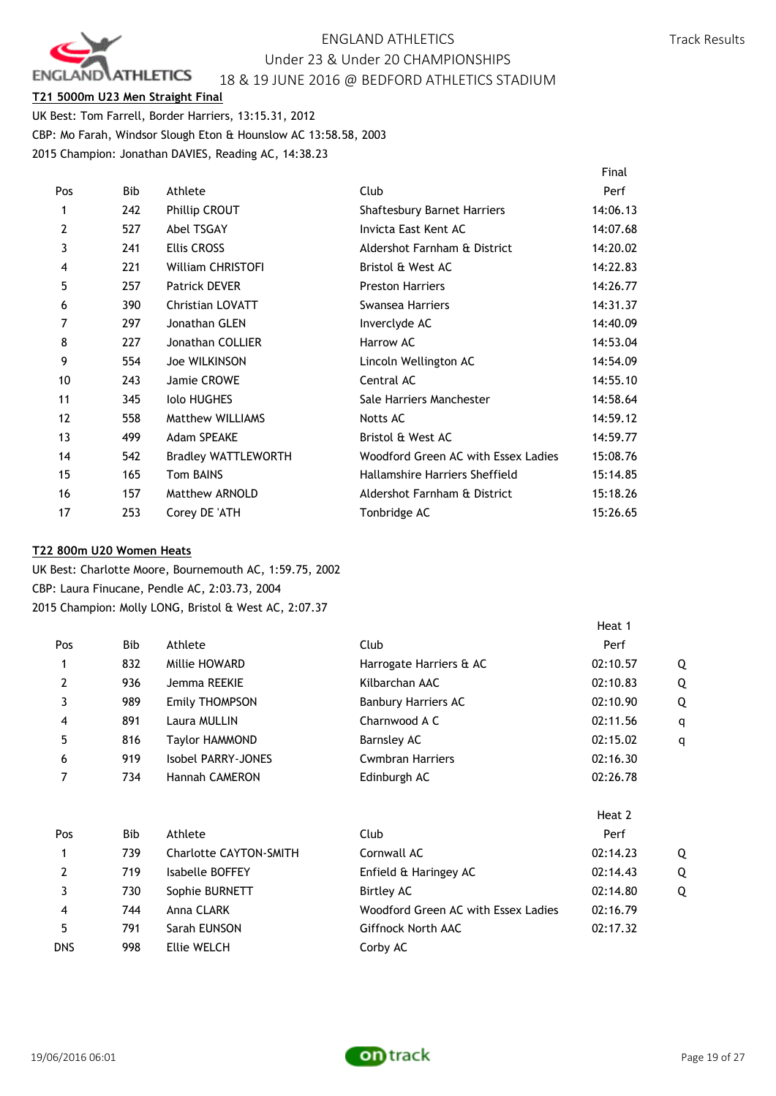

## **T21 5000m U23 Men Straight Final**

UK Best: Tom Farrell, Border Harriers, 13:15.31, 2012 CBP: Mo Farah, Windsor Slough Eton & Hounslow AC 13:58.58, 2003 2015 Champion: Jonathan DAVIES, Reading AC, 14:38.23

|     |     |                            |                                     | Final    |
|-----|-----|----------------------------|-------------------------------------|----------|
| Pos | Bib | Athlete                    | Club                                | Perf     |
| 1   | 242 | Phillip CROUT              | <b>Shaftesbury Barnet Harriers</b>  | 14:06.13 |
| 2   | 527 | <b>Abel TSGAY</b>          | Invicta East Kent AC                | 14:07.68 |
| 3   | 241 | <b>Ellis CROSS</b>         | Aldershot Farnham & District        | 14:20.02 |
| 4   | 221 | <b>William CHRISTOFI</b>   | Bristol & West AC                   | 14:22.83 |
| 5   | 257 | <b>Patrick DEVER</b>       | <b>Preston Harriers</b>             | 14:26.77 |
| 6   | 390 | <b>Christian LOVATT</b>    | Swansea Harriers                    | 14:31.37 |
| 7   | 297 | Jonathan GLEN              | Inverclyde AC                       | 14:40.09 |
| 8   | 227 | Jonathan COLLIER           | Harrow AC                           | 14:53.04 |
| 9   | 554 | Joe WILKINSON              | Lincoln Wellington AC               | 14:54.09 |
| 10  | 243 | Jamie CROWE                | Central AC                          | 14:55.10 |
| 11  | 345 | <b>Iolo HUGHES</b>         | Sale Harriers Manchester            | 14:58.64 |
| 12  | 558 | <b>Matthew WILLIAMS</b>    | Notts AC                            | 14:59.12 |
| 13  | 499 | <b>Adam SPEAKE</b>         | Bristol & West AC                   | 14:59.77 |
| 14  | 542 | <b>Bradley WATTLEWORTH</b> | Woodford Green AC with Essex Ladies | 15:08.76 |
| 15  | 165 | Tom BAINS                  | Hallamshire Harriers Sheffield      | 15:14.85 |
| 16  | 157 | Matthew ARNOLD             | Aldershot Farnham & District        | 15:18.26 |
| 17  | 253 | Corey DE 'ATH              | Tonbridge AC                        | 15:26.65 |

### **T22 800m U20 Women Heats**

UK Best: Charlotte Moore, Bournemouth AC, 1:59.75, 2002 CBP: Laura Finucane, Pendle AC, 2:03.73, 2004 2015 Champion: Molly LONG, Bristol & West AC, 2:07.37

| Pos        | Bib | Athlete                       | Club                                | Perf     |   |
|------------|-----|-------------------------------|-------------------------------------|----------|---|
|            | 832 | Millie HOWARD                 | Harrogate Harriers & AC             | 02:10.57 | Q |
| 2          | 936 | Jemma REEKIE                  | Kilbarchan AAC                      | 02:10.83 | Q |
| 3          | 989 | Emily THOMPSON                | <b>Banbury Harriers AC</b>          | 02:10.90 | Q |
| 4          | 891 | Laura MULLIN                  | Charnwood A C                       | 02:11.56 | q |
| 5          | 816 | Taylor HAMMOND                | Barnsley AC                         | 02:15.02 | q |
| 6          | 919 | Isobel PARRY-JONES            | <b>Cwmbran Harriers</b>             | 02:16.30 |   |
| 7          | 734 | <b>Hannah CAMERON</b>         | Edinburgh AC                        | 02:26.78 |   |
|            |     |                               |                                     | Heat 2   |   |
| Pos        | Bib | Athlete                       | Club                                | Perf     |   |
|            | 739 | <b>Charlotte CAYTON-SMITH</b> | Cornwall AC                         | 02:14.23 | Q |
| 2          | 719 | Isabelle BOFFEY               | Enfield & Haringey AC               | 02:14.43 | Q |
| 3          | 730 | Sophie BURNETT                | Birtley AC                          | 02:14.80 | Q |
| 4          | 744 | Anna CLARK                    | Woodford Green AC with Essex Ladies | 02:16.79 |   |
| 5          | 791 | Sarah EUNSON                  | Giffnock North AAC                  | 02:17.32 |   |
| <b>DNS</b> | 998 | Ellie WELCH                   | Corby AC                            |          |   |



Heat 1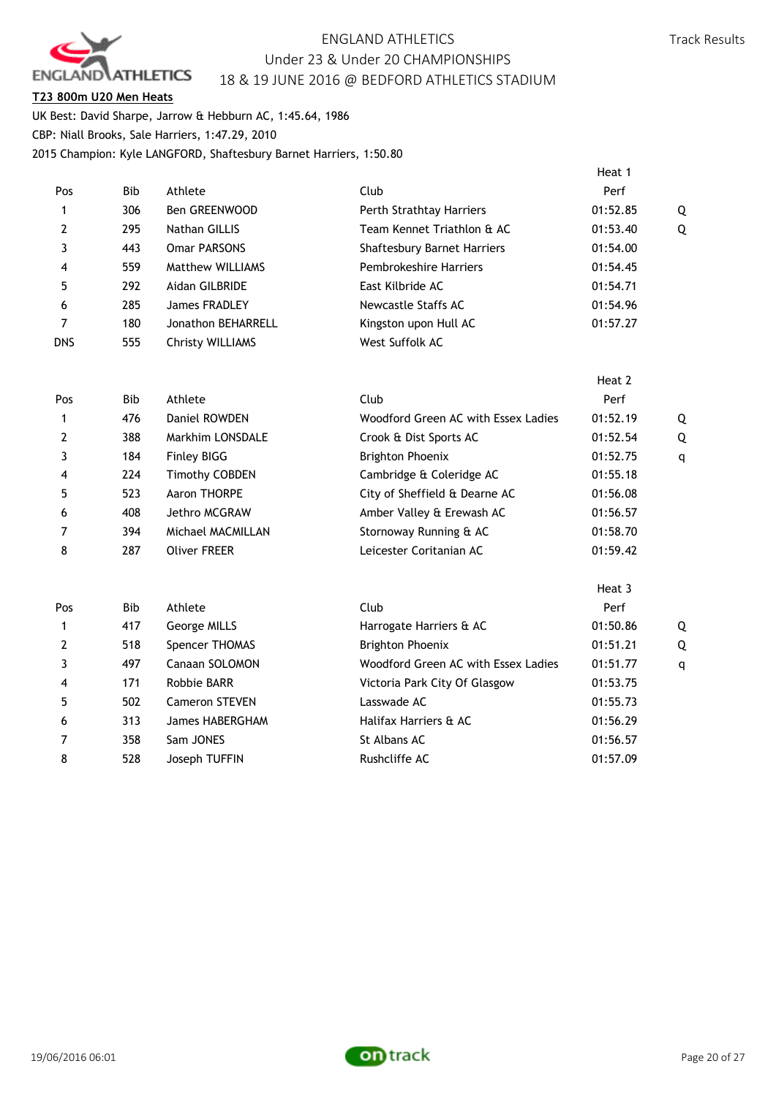

## **T23 800m U20 Men Heats**

UK Best: David Sharpe, Jarrow & Hebburn AC, 1:45.64, 1986 CBP: Niall Brooks, Sale Harriers, 1:47.29, 2010 2015 Champion: Kyle LANGFORD, Shaftesbury Barnet Harriers, 1:50.80

|                |            |                         |                                     | Heat 1   |              |
|----------------|------------|-------------------------|-------------------------------------|----------|--------------|
| Pos            | <b>Bib</b> | Athlete                 | Club                                | Perf     |              |
| $\mathbf{1}$   | 306        | Ben GREENWOOD           | Perth Strathtay Harriers            | 01:52.85 | Q            |
| 2              | 295        | Nathan GILLIS           | Team Kennet Triathlon & AC          | 01:53.40 | Q            |
| 3              | 443        | <b>Omar PARSONS</b>     | Shaftesbury Barnet Harriers         | 01:54.00 |              |
| 4              | 559        | <b>Matthew WILLIAMS</b> | Pembrokeshire Harriers              | 01:54.45 |              |
| 5              | 292        | Aidan GILBRIDE          | East Kilbride AC                    | 01:54.71 |              |
| 6              | 285        | James FRADLEY           | <b>Newcastle Staffs AC</b>          | 01:54.96 |              |
| 7              | 180        | Jonathon BEHARRELL      | Kingston upon Hull AC               | 01:57.27 |              |
| <b>DNS</b>     | 555        | <b>Christy WILLIAMS</b> | West Suffolk AC                     |          |              |
|                |            |                         |                                     | Heat 2   |              |
| Pos            | <b>Bib</b> | Athlete                 | Club                                | Perf     |              |
| 1              | 476        | Daniel ROWDEN           | Woodford Green AC with Essex Ladies | 01:52.19 | Q            |
| 2              | 388        | Markhim LONSDALE        | Crook & Dist Sports AC              | 01:52.54 | Q            |
| 3              | 184        | <b>Finley BIGG</b>      | <b>Brighton Phoenix</b>             | 01:52.75 | q            |
| 4              | 224        | Timothy COBDEN          | Cambridge & Coleridge AC            | 01:55.18 |              |
| 5              | 523        | Aaron THORPE            | City of Sheffield & Dearne AC       | 01:56.08 |              |
| 6              | 408        | Jethro MCGRAW           | Amber Valley & Erewash AC           | 01:56.57 |              |
| 7              | 394        | Michael MACMILLAN       | Stornoway Running & AC              | 01:58.70 |              |
| 8              | 287        | <b>Oliver FREER</b>     | Leicester Coritanian AC             | 01:59.42 |              |
|                |            |                         |                                     | Heat 3   |              |
| Pos            | <b>Bib</b> | Athlete                 | Club                                | Perf     |              |
| $\mathbf{1}$   | 417        | George MILLS            | Harrogate Harriers & AC             | 01:50.86 | Q            |
| $\overline{2}$ | 518        | Spencer THOMAS          | <b>Brighton Phoenix</b>             | 01:51.21 | Q            |
| 3              | 497        | Canaan SOLOMON          | Woodford Green AC with Essex Ladies | 01:51.77 | $\mathsf{q}$ |
| 4              | 171        | Robbie BARR             | Victoria Park City Of Glasgow       | 01:53.75 |              |
| 5              | 502        | <b>Cameron STEVEN</b>   | Lasswade AC                         | 01:55.73 |              |
| 6              | 313        | James HABERGHAM         | Halifax Harriers & AC               | 01:56.29 |              |
| 7              | 358        | Sam JONES               | St Albans AC                        | 01:56.57 |              |
| 8              | 528        | Joseph TUFFIN           | Rushcliffe AC                       | 01:57.09 |              |
|                |            |                         |                                     |          |              |

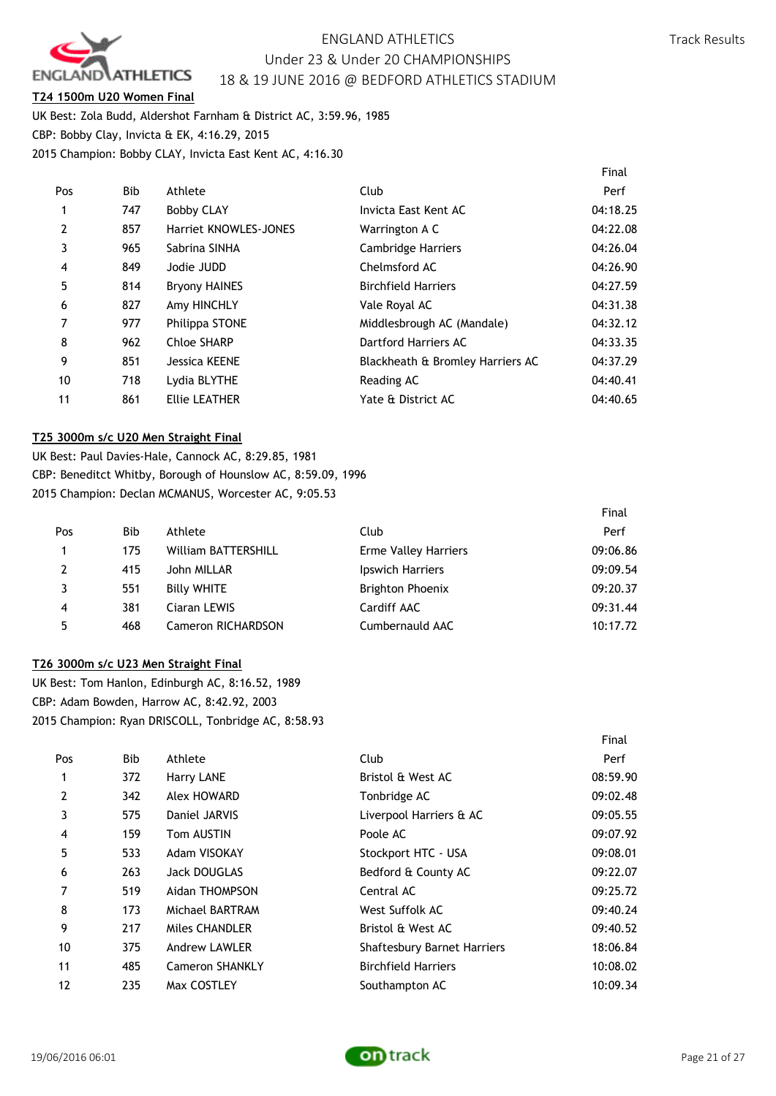

## **T24 1500m U20 Women Final**

UK Best: Zola Budd, Aldershot Farnham & District AC, 3:59.96, 1985 CBP: Bobby Clay, Invicta & EK, 4:16.29, 2015 2015 Champion: Bobby CLAY, Invicta East Kent AC, 4:16.30

|                |            |                       |                                  | Final    |
|----------------|------------|-----------------------|----------------------------------|----------|
| Pos            | <b>Bib</b> | Athlete               | Club                             | Perf     |
|                | 747        | <b>Bobby CLAY</b>     | Invicta East Kent AC             | 04:18.25 |
| $\overline{2}$ | 857        | Harriet KNOWLES-JONES | Warrington A C                   | 04:22.08 |
| 3              | 965        | Sabrina SINHA         | <b>Cambridge Harriers</b>        | 04:26.04 |
| 4              | 849        | Jodie JUDD            | Chelmsford AC                    | 04:26.90 |
| 5              | 814        | <b>Bryony HAINES</b>  | <b>Birchfield Harriers</b>       | 04:27.59 |
| 6              | 827        | Amy HINCHLY           | Vale Royal AC                    | 04:31.38 |
|                | 977        | Philippa STONE        | Middlesbrough AC (Mandale)       | 04:32.12 |
| 8              | 962        | Chloe SHARP           | Dartford Harriers AC             | 04:33.35 |
| 9              | 851        | Jessica KEENE         | Blackheath & Bromley Harriers AC | 04:37.29 |
| 10             | 718        | Lydia BLYTHE          | Reading AC                       | 04:40.41 |
| 11             | 861        | Ellie LEATHER         | Yate & District AC               | 04:40.65 |

### **T25 3000m s/c U20 Men Straight Final**

UK Best: Paul Davies-Hale, Cannock AC, 8:29.85, 1981 CBP: Beneditct Whitby, Borough of Hounslow AC, 8:59.09, 1996 2015 Champion: Declan MCMANUS, Worcester AC, 9:05.53

|     |     |                            |                             | Final    |
|-----|-----|----------------------------|-----------------------------|----------|
| Pos | Bib | Athlete                    | Club                        | Perf     |
|     | 175 | <b>William BATTERSHILL</b> | <b>Erme Valley Harriers</b> | 09:06.86 |
| 2   | 415 | John MILLAR                | Ipswich Harriers            | 09:09.54 |
|     | 551 | <b>Billy WHITE</b>         | <b>Brighton Phoenix</b>     | 09:20.37 |
| 4   | 381 | Ciaran LEWIS               | Cardiff AAC                 | 09:31.44 |
| 5   | 468 | <b>Cameron RICHARDSON</b>  | Cumbernauld AAC             | 10:17.72 |

### **T26 3000m s/c U23 Men Straight Final**

UK Best: Tom Hanlon, Edinburgh AC, 8:16.52, 1989 CBP: Adam Bowden, Harrow AC, 8:42.92, 2003 2015 Champion: Ryan DRISCOLL, Tonbridge AC, 8:58.93

|                |     |                      |                             | Final    |
|----------------|-----|----------------------|-----------------------------|----------|
| Pos            | Bib | Athlete              | Club                        | Perf     |
| 1              | 372 | Harry LANE           | Bristol & West AC           | 08:59.90 |
| $\overline{2}$ | 342 | Alex HOWARD          | Tonbridge AC                | 09:02.48 |
| 3              | 575 | Daniel JARVIS        | Liverpool Harriers & AC     | 09:05.55 |
| 4              | 159 | Tom AUSTIN           | Poole AC                    | 09:07.92 |
| 5              | 533 | Adam VISOKAY         | Stockport HTC - USA         | 09:08.01 |
| 6              | 263 | <b>Jack DOUGLAS</b>  | Bedford & County AC         | 09:22.07 |
| 7              | 519 | Aidan THOMPSON       | Central AC                  | 09:25.72 |
| 8              | 173 | Michael BARTRAM      | West Suffolk AC             | 09:40.24 |
| 9              | 217 | Miles CHANDLER       | Bristol & West AC           | 09:40.52 |
| 10             | 375 | <b>Andrew LAWLER</b> | Shaftesbury Barnet Harriers | 18:06.84 |
| 11             | 485 | Cameron SHANKLY      | <b>Birchfield Harriers</b>  | 10:08.02 |
| 12             | 235 | Max COSTLEY          | Southampton AC              | 10:09.34 |

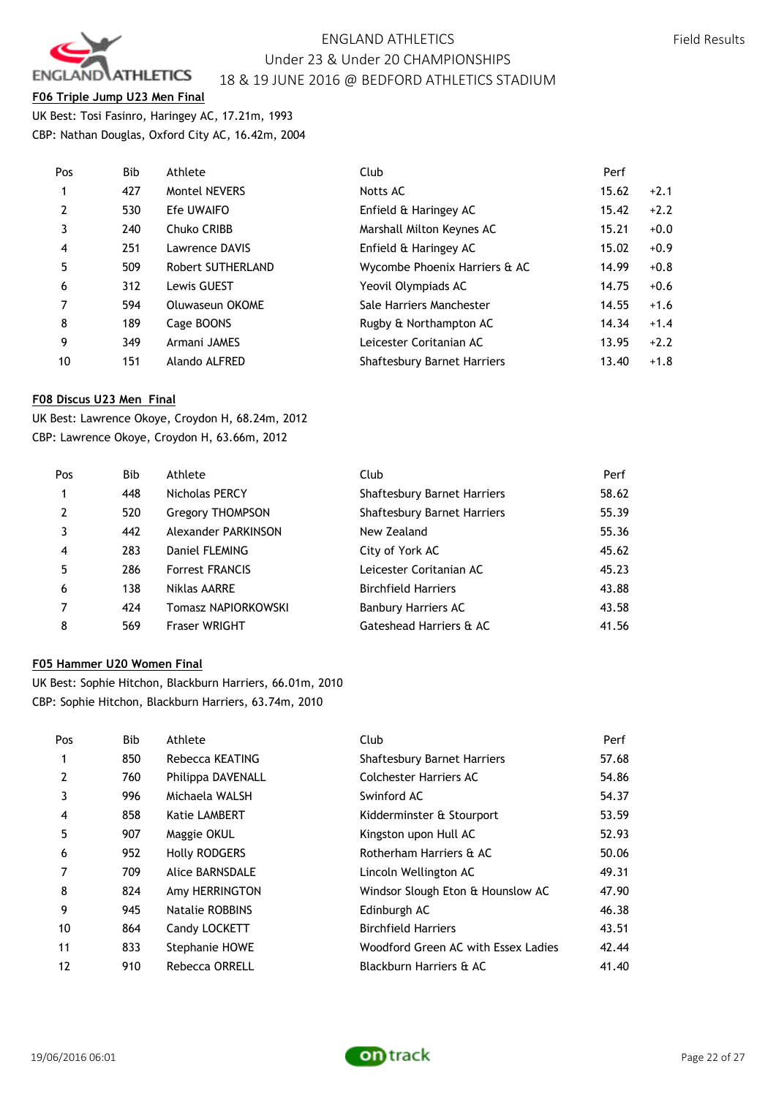

# **F06 Triple Jump U23 Men Final**

UK Best: Tosi Fasinro, Haringey AC, 17.21m, 1993 CBP: Nathan Douglas, Oxford City AC, 16.42m, 2004

| Pos            | Bib | Athlete              | Club                               | Perf  |        |
|----------------|-----|----------------------|------------------------------------|-------|--------|
| $\mathbf{1}$   | 427 | <b>Montel NEVERS</b> | Notts AC                           | 15.62 | $+2.1$ |
| $\overline{2}$ | 530 | Efe UWAIFO           | Enfield & Haringey AC              | 15.42 | $+2.2$ |
| 3              | 240 | Chuko CRIBB          | Marshall Milton Keynes AC          | 15.21 | $+0.0$ |
| $\overline{4}$ | 251 | Lawrence DAVIS       | Enfield & Haringey AC              | 15.02 | $+0.9$ |
| 5              | 509 | Robert SUTHERLAND    | Wycombe Phoenix Harriers & AC      | 14.99 | $+0.8$ |
| 6              | 312 | Lewis GUEST          | Yeovil Olympiads AC                | 14.75 | $+0.6$ |
| $\overline{7}$ | 594 | Oluwaseun OKOME      | Sale Harriers Manchester           | 14.55 | $+1.6$ |
| 8              | 189 | Cage BOONS           | Rugby & Northampton AC             | 14.34 | $+1.4$ |
| 9              | 349 | Armani JAMES         | Leicester Coritanian AC            | 13.95 | $+2.2$ |
| 10             | 151 | Alando ALFRED        | <b>Shaftesbury Barnet Harriers</b> | 13.40 | $+1.8$ |
|                |     |                      |                                    |       |        |

## **F08 Discus U23 Men Final**

UK Best: Lawrence Okoye, Croydon H, 68.24m, 2012 CBP: Lawrence Okoye, Croydon H, 63.66m, 2012

| Pos            | Bib | Athlete                 | Club                               | Perf  |
|----------------|-----|-------------------------|------------------------------------|-------|
|                | 448 | Nicholas PERCY          | <b>Shaftesbury Barnet Harriers</b> | 58.62 |
| $\overline{2}$ | 520 | <b>Gregory THOMPSON</b> | Shaftesbury Barnet Harriers        | 55.39 |
| 3              | 442 | Alexander PARKINSON     | New Zealand                        | 55.36 |
| $\overline{4}$ | 283 | Daniel FLEMING          | City of York AC                    | 45.62 |
| 5              | 286 | <b>Forrest FRANCIS</b>  | Leicester Coritanian AC            | 45.23 |
| 6              | 138 | Niklas AARRE            | <b>Birchfield Harriers</b>         | 43.88 |
|                | 424 | Tomasz NAPIORKOWSKI     | <b>Banbury Harriers AC</b>         | 43.58 |
| 8              | 569 | <b>Fraser WRIGHT</b>    | Gateshead Harriers & AC            | 41.56 |

### **F05 Hammer U20 Women Final**

UK Best: Sophie Hitchon, Blackburn Harriers, 66.01m, 2010 CBP: Sophie Hitchon, Blackburn Harriers, 63.74m, 2010

| Pos | Bib | Athlete               | Club                                | Perf  |
|-----|-----|-----------------------|-------------------------------------|-------|
| 1   | 850 | Rebecca KEATING       | <b>Shaftesbury Barnet Harriers</b>  | 57.68 |
| 2   | 760 | Philippa DAVENALL     | Colchester Harriers AC              | 54.86 |
| 3   | 996 | Michaela WALSH        | Swinford AC                         | 54.37 |
| 4   | 858 | <b>Katie LAMBERT</b>  | Kidderminster & Stourport           | 53.59 |
| 5   | 907 | Maggie OKUL           | Kingston upon Hull AC               | 52.93 |
| 6   | 952 | <b>Holly RODGERS</b>  | Rotherham Harriers & AC             | 50.06 |
| 7   | 709 | Alice BARNSDALE       | Lincoln Wellington AC               | 49.31 |
| 8   | 824 | Amy HERRINGTON        | Windsor Slough Eton & Hounslow AC   | 47.90 |
| 9   | 945 | Natalie ROBBINS       | Edinburgh AC                        | 46.38 |
| 10  | 864 | Candy LOCKETT         | <b>Birchfield Harriers</b>          | 43.51 |
| 11  | 833 | Stephanie HOWE        | Woodford Green AC with Essex Ladies | 42.44 |
| 12  | 910 | <b>Rebecca ORRELL</b> | Blackburn Harriers & AC             | 41.40 |



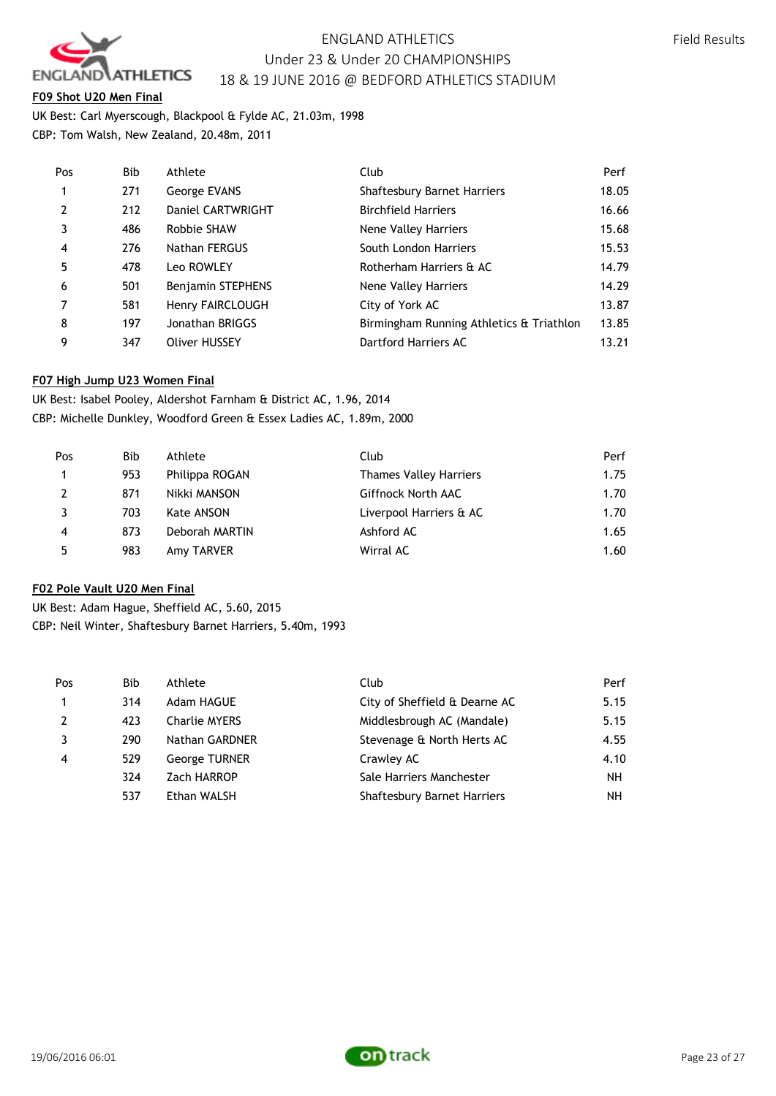

## **F09 Shot U20 Men Final**

UK Best: Carl Myerscough, Blackpool & Fylde AC, 21.03m, 1998 CBP: Tom Walsh, New Zealand, 20.48m, 2011

| Pos            | Bib | Athlete                  | Club                                     | Perf  |
|----------------|-----|--------------------------|------------------------------------------|-------|
| $\mathbf{1}$   | 271 | George EVANS             | <b>Shaftesbury Barnet Harriers</b>       | 18.05 |
| $\overline{2}$ | 212 | Daniel CARTWRIGHT        | <b>Birchfield Harriers</b>               | 16.66 |
| 3              | 486 | Robbie SHAW              | Nene Valley Harriers                     | 15.68 |
| $\overline{4}$ | 276 | Nathan FERGUS            | South London Harriers                    | 15.53 |
| 5              | 478 | Leo ROWLEY               | Rotherham Harriers & AC                  | 14.79 |
| 6              | 501 | <b>Benjamin STEPHENS</b> | Nene Valley Harriers                     | 14.29 |
| $\overline{7}$ | 581 | Henry FAIRCLOUGH         | City of York AC                          | 13.87 |
| 8              | 197 | Jonathan BRIGGS          | Birmingham Running Athletics & Triathlon | 13.85 |
| 9              | 347 | <b>Oliver HUSSEY</b>     | Dartford Harriers AC                     | 13.21 |

## **F07 High Jump U23 Women Final**

UK Best: Isabel Pooley, Aldershot Farnham & District AC, 1.96, 2014 CBP: Michelle Dunkley, Woodford Green & Essex Ladies AC, 1.89m, 2000

| Pos | Bib. | Athlete        | Club                          | Perf |
|-----|------|----------------|-------------------------------|------|
|     | 953  | Philippa ROGAN | <b>Thames Valley Harriers</b> | 1.75 |
| 2   | 871  | Nikki MANSON   | Giffnock North AAC            | 1.70 |
|     | 703  | Kate ANSON     | Liverpool Harriers & AC       | 1.70 |
| 4   | 873  | Deborah MARTIN | Ashford AC                    | 1.65 |
| 5   | 983  | Amy TARVER     | Wirral AC                     | 1.60 |

# **F02 Pole Vault U20 Men Final**

UK Best: Adam Hague, Sheffield AC, 5.60, 2015 CBP: Neil Winter, Shaftesbury Barnet Harriers, 5.40m, 1993

| Pos            | <b>Bib</b> | Athlete              | Club                               | Perf |
|----------------|------------|----------------------|------------------------------------|------|
| $\mathbf{1}$   | 314        | Adam HAGUE           | City of Sheffield & Dearne AC      | 5.15 |
| 2              | 423        | <b>Charlie MYERS</b> | Middlesbrough AC (Mandale)         | 5.15 |
| 3              | 290        | Nathan GARDNER       | Stevenage & North Herts AC         | 4.55 |
| $\overline{4}$ | 529        | <b>George TURNER</b> | Crawley AC                         | 4.10 |
|                | 324        | Zach HARROP          | Sale Harriers Manchester           | NH.  |
|                | 537        | Ethan WALSH          | <b>Shaftesbury Barnet Harriers</b> | NH.  |
|                |            |                      |                                    |      |

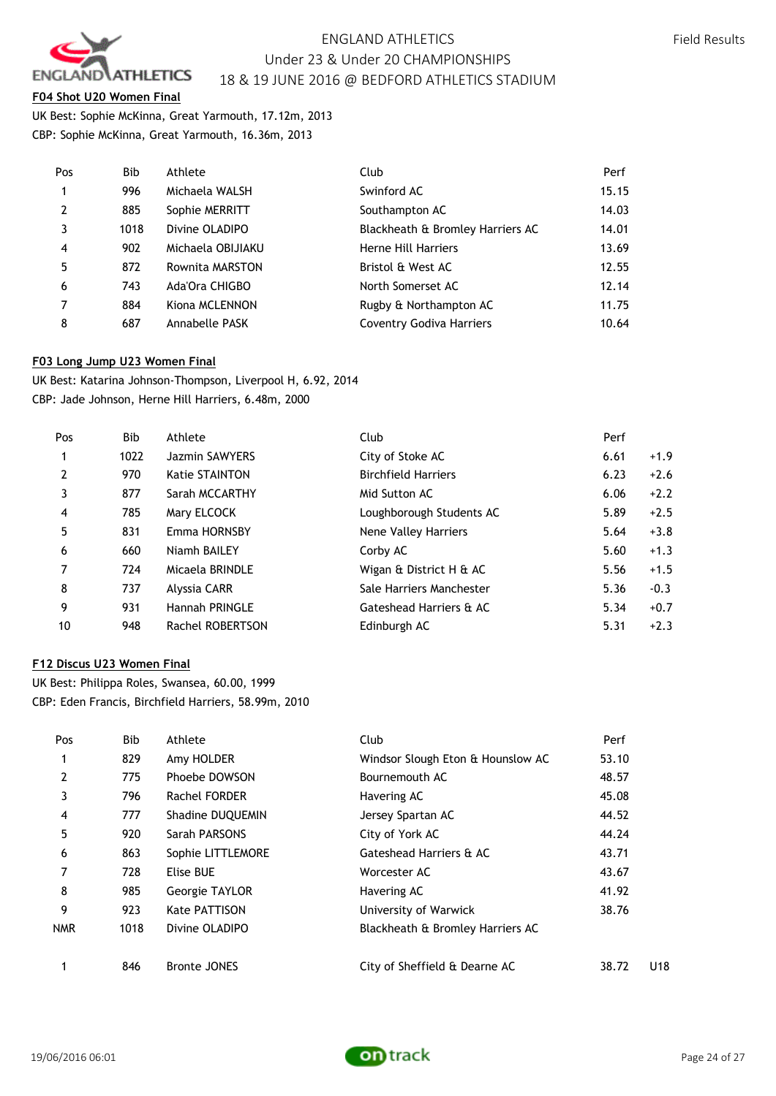

## **F04 Shot U20 Women Final**

UK Best: Sophie McKinna, Great Yarmouth, 17.12m, 2013 CBP: Sophie McKinna, Great Yarmouth, 16.36m, 2013

| Pos            | Bib  | Athlete           | Club                             | Perf  |
|----------------|------|-------------------|----------------------------------|-------|
| $\overline{1}$ | 996  | Michaela WALSH    | Swinford AC                      | 15.15 |
| $\overline{2}$ | 885  | Sophie MERRITT    | Southampton AC                   | 14.03 |
| 3              | 1018 | Divine OLADIPO    | Blackheath & Bromley Harriers AC | 14.01 |
| $\overline{4}$ | 902  | Michaela OBIJIAKU | Herne Hill Harriers              | 13.69 |
| 5              | 872  | Rownita MARSTON   | Bristol & West AC                | 12.55 |
| 6              | 743  | Ada'Ora CHIGBO    | North Somerset AC                | 12.14 |
| $\overline{7}$ | 884  | Kiona MCLENNON    | Rugby & Northampton AC           | 11.75 |
| 8              | 687  | Annabelle PASK    | <b>Coventry Godiva Harriers</b>  | 10.64 |

### **F03 Long Jump U23 Women Final**

UK Best: Katarina Johnson-Thompson, Liverpool H, 6.92, 2014 CBP: Jade Johnson, Herne Hill Harriers, 6.48m, 2000

| Pos | Bib  | Athlete               | Club                       | Perf |        |
|-----|------|-----------------------|----------------------------|------|--------|
|     | 1022 | Jazmin SAWYERS        | City of Stoke AC           | 6.61 | $+1.9$ |
| 2   | 970  | <b>Katie STAINTON</b> | <b>Birchfield Harriers</b> | 6.23 | $+2.6$ |
| 3   | 877  | Sarah MCCARTHY        | Mid Sutton AC              | 6.06 | $+2.2$ |
| 4   | 785  | Mary ELCOCK           | Loughborough Students AC   | 5.89 | $+2.5$ |
| 5   | 831  | Emma HORNSBY          | Nene Valley Harriers       | 5.64 | $+3.8$ |
| 6   | 660  | Niamh BAILEY          | Corby AC                   | 5.60 | $+1.3$ |
| 7   | 724  | Micaela BRINDLE       | Wigan & District H & AC    | 5.56 | $+1.5$ |
| 8   | 737  | Alyssia CARR          | Sale Harriers Manchester   | 5.36 | $-0.3$ |
| 9   | 931  | Hannah PRINGLE        | Gateshead Harriers & AC    | 5.34 | $+0.7$ |
| 10  | 948  | Rachel ROBERTSON      | Edinburgh AC               | 5.31 | $+2.3$ |

### **F12 Discus U23 Women Final**

UK Best: Philippa Roles, Swansea, 60.00, 1999 CBP: Eden Francis, Birchfield Harriers, 58.99m, 2010

| Pos        | Bib  | Athlete             | Club                              | Perf  |     |
|------------|------|---------------------|-----------------------------------|-------|-----|
|            | 829  | Amy HOLDER          | Windsor Slough Eton & Hounslow AC | 53.10 |     |
| 2          | 775  | Phoebe DOWSON       | Bournemouth AC                    | 48.57 |     |
| 3          | 796  | Rachel FORDER       | Havering AC                       | 45.08 |     |
| 4          | 777  | Shadine DUQUEMIN    | Jersey Spartan AC                 | 44.52 |     |
| 5          | 920  | Sarah PARSONS       | City of York AC                   | 44.24 |     |
| 6          | 863  | Sophie LITTLEMORE   | Gateshead Harriers & AC           | 43.71 |     |
| 7          | 728  | Elise BUE           | Worcester AC                      | 43.67 |     |
| 8          | 985  | Georgie TAYLOR      | Havering AC                       | 41.92 |     |
| 9          | 923  | Kate PATTISON       | University of Warwick             | 38.76 |     |
| <b>NMR</b> | 1018 | Divine OLADIPO      | Blackheath & Bromley Harriers AC  |       |     |
|            | 846  | <b>Bronte JONES</b> | City of Sheffield & Dearne AC     | 38.72 | U18 |

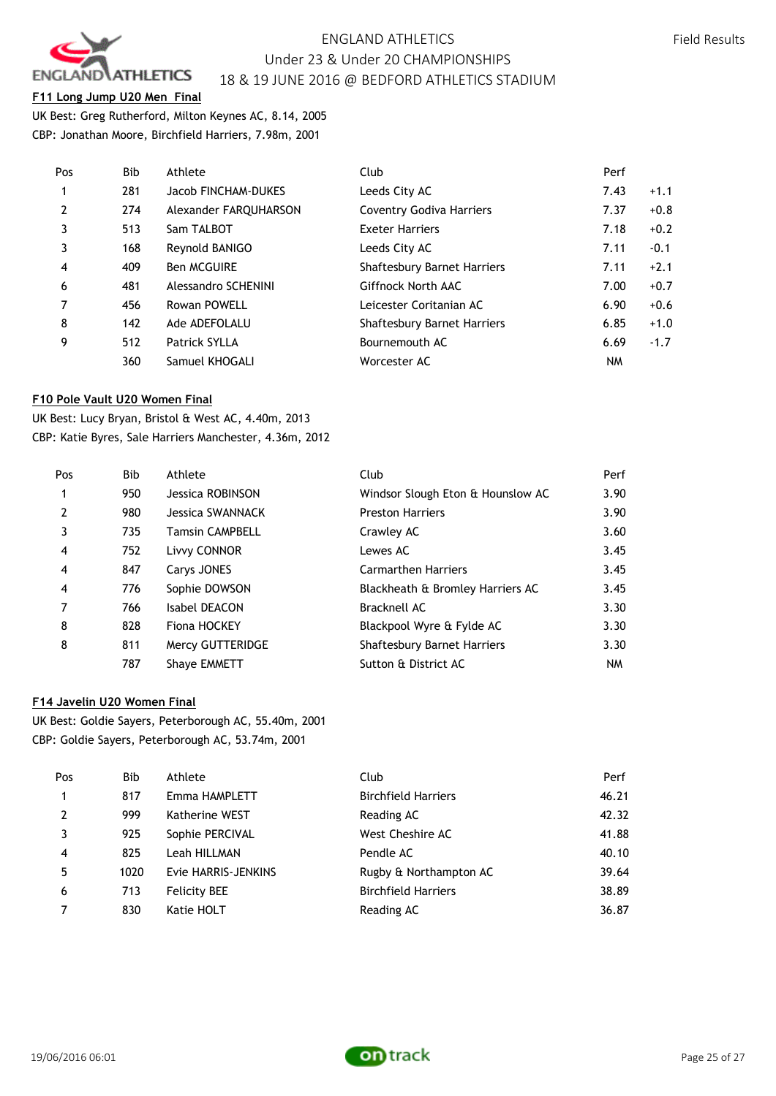

## **F11 Long Jump U20 Men Final**

UK Best: Greg Rutherford, Milton Keynes AC, 8.14, 2005 CBP: Jonathan Moore, Birchfield Harriers, 7.98m, 2001

| Pos            | Bib | Athlete               | Club                            | Perf |        |
|----------------|-----|-----------------------|---------------------------------|------|--------|
| $\mathbf{1}$   | 281 | Jacob FINCHAM-DUKES   | Leeds City AC                   | 7.43 | $+1.1$ |
| 2              | 274 | Alexander FAROUHARSON | <b>Coventry Godiva Harriers</b> | 7.37 | $+0.8$ |
| 3              | 513 | Sam TALBOT            | <b>Exeter Harriers</b>          | 7.18 | $+0.2$ |
| 3              | 168 | Reynold BANIGO        | Leeds City AC                   | 7.11 | $-0.1$ |
| $\overline{4}$ | 409 | <b>Ben MCGUIRE</b>    | Shaftesbury Barnet Harriers     | 7.11 | $+2.1$ |
| 6              | 481 | Alessandro SCHENINI   | Giffnock North AAC              | 7.00 | $+0.7$ |
| $\overline{7}$ | 456 | Rowan POWELL          | Leicester Coritanian AC         | 6.90 | $+0.6$ |
| 8              | 142 | Ade ADEFOLALU         | Shaftesbury Barnet Harriers     | 6.85 | $+1.0$ |
| 9              | 512 | <b>Patrick SYLLA</b>  | Bournemouth AC                  | 6.69 | $-1.7$ |
|                | 360 | Samuel KHOGALI        | Worcester AC                    | NM   |        |

### **F10 Pole Vault U20 Women Final**

UK Best: Lucy Bryan, Bristol & West AC, 4.40m, 2013 CBP: Katie Byres, Sale Harriers Manchester, 4.36m, 2012

| Pos | <b>Bib</b> | Athlete                | Club                              | Perf      |
|-----|------------|------------------------|-----------------------------------|-----------|
|     | 950        | Jessica ROBINSON       | Windsor Slough Eton & Hounslow AC | 3.90      |
| 2   | 980        | Jessica SWANNACK       | <b>Preston Harriers</b>           | 3.90      |
| 3   | 735        | <b>Tamsin CAMPBELL</b> | Crawley AC                        | 3.60      |
| 4   | 752        | Livvy CONNOR           | Lewes AC                          | 3.45      |
| 4   | 847        | Carys JONES            | <b>Carmarthen Harriers</b>        | 3.45      |
| 4   | 776        | Sophie DOWSON          | Blackheath & Bromley Harriers AC  | 3.45      |
| 7   | 766        | Isabel DEACON          | <b>Bracknell AC</b>               | 3.30      |
| 8   | 828        | Fiona HOCKEY           | Blackpool Wyre & Fylde AC         | 3.30      |
| 8   | 811        | Mercy GUTTERIDGE       | Shaftesbury Barnet Harriers       | 3.30      |
|     | 787        | <b>Shave EMMETT</b>    | Sutton & District AC              | <b>NM</b> |

# **F14 Javelin U20 Women Final**

UK Best: Goldie Sayers, Peterborough AC, 55.40m, 2001 CBP: Goldie Sayers, Peterborough AC, 53.74m, 2001

| Pos            | Bib  | Athlete             | Club                       | Perf  |
|----------------|------|---------------------|----------------------------|-------|
| $\mathbf{1}$   | 817  | Emma HAMPLETT       | <b>Birchfield Harriers</b> | 46.21 |
| 2              | 999  | Katherine WEST      | Reading AC                 | 42.32 |
| 3              | 925  | Sophie PERCIVAL     | West Cheshire AC           | 41.88 |
| $\overline{4}$ | 825  | Leah HILLMAN        | Pendle AC                  | 40.10 |
| 5              | 1020 | Evie HARRIS-JENKINS | Rugby & Northampton AC     | 39.64 |
| 6              | 713  | <b>Felicity BEE</b> | <b>Birchfield Harriers</b> | 38.89 |
| $\overline{7}$ | 830  | Katie HOLT          | Reading AC                 | 36.87 |
|                |      |                     |                            |       |

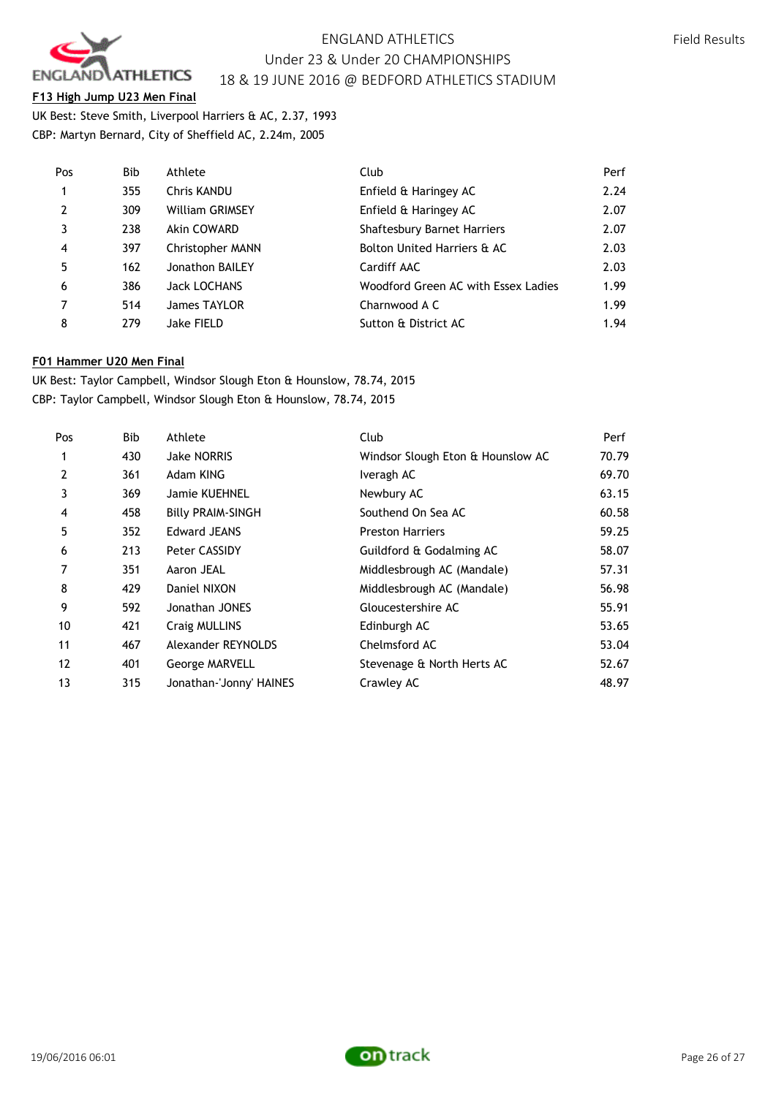

## **F13 High Jump U23 Men Final**

UK Best: Steve Smith, Liverpool Harriers & AC, 2.37, 1993 CBP: Martyn Bernard, City of Sheffield AC, 2.24m, 2005

| Pos            | Bib | Athlete                 | Club                                | Perf |
|----------------|-----|-------------------------|-------------------------------------|------|
| 1              | 355 | <b>Chris KANDU</b>      | Enfield & Haringey AC               | 2.24 |
| $\overline{2}$ | 309 | <b>William GRIMSEY</b>  | Enfield & Haringey AC               | 2.07 |
| 3              | 238 | Akin COWARD             | Shaftesbury Barnet Harriers         | 2.07 |
| $\overline{4}$ | 397 | <b>Christopher MANN</b> | Bolton United Harriers & AC         | 2.03 |
| 5              | 162 | Jonathon BAILEY         | Cardiff AAC                         | 2.03 |
| 6              | 386 | <b>Jack LOCHANS</b>     | Woodford Green AC with Essex Ladies | 1.99 |
| 7              | 514 | James TAYLOR            | Charnwood A C                       | 1.99 |
| 8              | 279 | Jake FIELD              | Sutton & District AC                | 1.94 |

## **F01 Hammer U20 Men Final**

UK Best: Taylor Campbell, Windsor Slough Eton & Hounslow, 78.74, 2015 CBP: Taylor Campbell, Windsor Slough Eton & Hounslow, 78.74, 2015

| Pos            | Bib | Athlete                  | Club                              | Perf  |
|----------------|-----|--------------------------|-----------------------------------|-------|
| 1              | 430 | <b>Jake NORRIS</b>       | Windsor Slough Eton & Hounslow AC | 70.79 |
| $\overline{2}$ | 361 | Adam KING                | Iveragh AC                        | 69.70 |
| 3              | 369 | Jamie KUEHNEL            | Newbury AC                        | 63.15 |
| 4              | 458 | <b>Billy PRAIM-SINGH</b> | Southend On Sea AC                | 60.58 |
| 5              | 352 | <b>Edward JEANS</b>      | <b>Preston Harriers</b>           | 59.25 |
| 6              | 213 | Peter CASSIDY            | Guildford & Godalming AC          | 58.07 |
| 7              | 351 | Aaron JEAL               | Middlesbrough AC (Mandale)        | 57.31 |
| 8              | 429 | Daniel NIXON             | Middlesbrough AC (Mandale)        | 56.98 |
| 9              | 592 | Jonathan JONES           | Gloucestershire AC                | 55.91 |
| 10             | 421 | Craig MULLINS            | Edinburgh AC                      | 53.65 |
| 11             | 467 | Alexander REYNOLDS       | Chelmsford AC                     | 53.04 |
| 12             | 401 | George MARVELL           | Stevenage & North Herts AC        | 52.67 |
| 13             | 315 | Jonathan-'Jonny' HAINES  | Crawley AC                        | 48.97 |